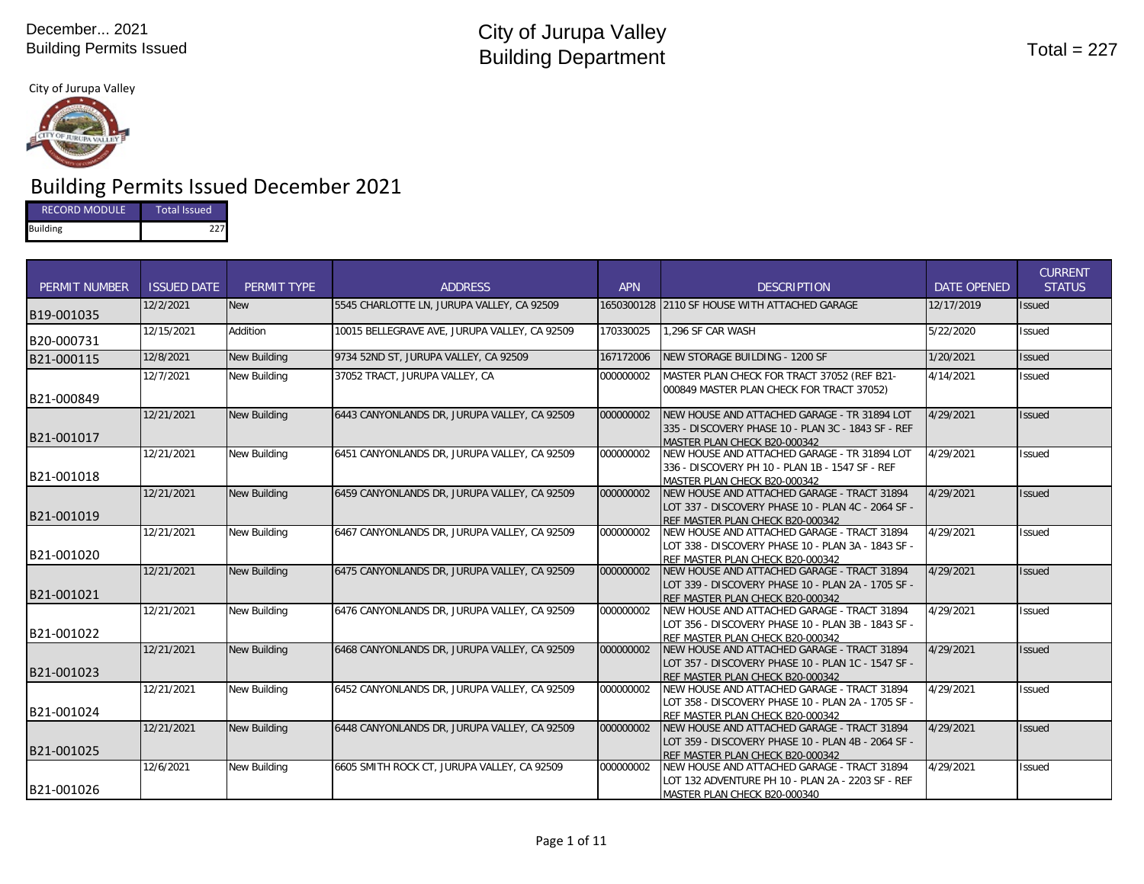

# Building Permits Issued December 2021

| <b>RECORD MODULE</b> | <b>Total Issued</b> |
|----------------------|---------------------|
| <b>Building</b>      | 227                 |

| <b>PERMIT NUMBER</b> | <b>ISSUED DATE</b> | PERMIT TYPE         | <b>ADDRESS</b>                                | <b>APN</b> | <b>DESCRIPTION</b>                                                                                                                     | <b>DATE OPENED</b> | <b>CURRENT</b><br><b>STATUS</b> |
|----------------------|--------------------|---------------------|-----------------------------------------------|------------|----------------------------------------------------------------------------------------------------------------------------------------|--------------------|---------------------------------|
| B19-001035           | 12/2/2021          | <b>New</b>          | 5545 CHARLOTTE LN, JURUPA VALLEY, CA 92509    | 1650300128 | 2110 SF HOUSE WITH ATTACHED GARAGE                                                                                                     | 12/17/2019         | <b>Issued</b>                   |
| B20-000731           | 12/15/2021         | Addition            | 10015 BELLEGRAVE AVE, JURUPA VALLEY, CA 92509 | 170330025  | 1.296 SF CAR WASH                                                                                                                      | 5/22/2020          | <b>Issued</b>                   |
| B21-000115           | 12/8/2021          | New Building        | 9734 52ND ST, JURUPA VALLEY, CA 92509         | 167172006  | NEW STORAGE BUILDING - 1200 SF                                                                                                         | 1/20/2021          | <b>Issued</b>                   |
| B21-000849           | 12/7/2021          | New Building        | 37052 TRACT, JURUPA VALLEY, CA                | 000000002  | MASTER PLAN CHECK FOR TRACT 37052 (REF B21-<br>000849 MASTER PLAN CHECK FOR TRACT 37052)                                               | 4/14/2021          | Issued                          |
| B21-001017           | 12/21/2021         | New Building        | 6443 CANYONLANDS DR. JURUPA VALLEY, CA 92509  | 000000002  | NEW HOUSE AND ATTACHED GARAGE - TR 31894 LOT<br>335 - DISCOVERY PHASE 10 - PLAN 3C - 1843 SF - REF<br>MASTER PLAN CHECK B20-000342     | 4/29/2021          | <b>Issued</b>                   |
| B21-001018           | 12/21/2021         | New Building        | 6451 CANYONLANDS DR, JURUPA VALLEY, CA 92509  | 000000002  | NEW HOUSE AND ATTACHED GARAGE - TR 31894 LOT<br>336 - DISCOVERY PH 10 - PLAN 1B - 1547 SF - REF<br>MASTER PLAN CHECK B20-000342        | 4/29/2021          | <b>Issued</b>                   |
| B21-001019           | 12/21/2021         | <b>New Building</b> | 6459 CANYONLANDS DR, JURUPA VALLEY, CA 92509  | 000000002  | NEW HOUSE AND ATTACHED GARAGE - TRACT 31894<br>LOT 337 - DISCOVERY PHASE 10 - PLAN 4C - 2064 SF -<br>REF MASTER PLAN CHECK B20-000342  | 4/29/2021          | <b>Issued</b>                   |
| B21-001020           | 12/21/2021         | New Building        | 6467 CANYONLANDS DR, JURUPA VALLEY, CA 92509  | 000000002  | NEW HOUSE AND ATTACHED GARAGE - TRACT 31894<br>LOT 338 - DISCOVERY PHASE 10 - PLAN 3A - 1843 SF -<br>REF MASTER PLAN CHECK B20-000342  | 4/29/2021          | <b>Issued</b>                   |
| B21-001021           | 12/21/2021         | New Building        | 6475 CANYONLANDS DR. JURUPA VALLEY, CA 92509  | 000000002  | INEW HOUSE AND ATTACHED GARAGE - TRACT 31894<br>LOT 339 - DISCOVERY PHASE 10 - PLAN 2A - 1705 SF -<br>REF MASTER PLAN CHECK B20-000342 | 4/29/2021          | <b>Issued</b>                   |
| B21-001022           | 12/21/2021         | New Building        | 6476 CANYONLANDS DR, JURUPA VALLEY, CA 92509  | 000000002  | NEW HOUSE AND ATTACHED GARAGE - TRACT 31894<br>LOT 356 - DISCOVERY PHASE 10 - PLAN 3B - 1843 SF -<br>REF MASTER PLAN CHECK B20-000342  | 4/29/2021          | <b>Issued</b>                   |
| B21-001023           | 12/21/2021         | <b>New Building</b> | 6468 CANYONLANDS DR, JURUPA VALLEY, CA 92509  | 000000002  | INEW HOUSE AND ATTACHED GARAGE - TRACT 31894<br>LOT 357 - DISCOVERY PHASE 10 - PLAN 1C - 1547 SF -<br>REF MASTER PLAN CHECK B20-000342 | 4/29/2021          | <b>Issued</b>                   |
| B21-001024           | 12/21/2021         | New Building        | 6452 CANYONLANDS DR. JURUPA VALLEY. CA 92509  | 000000002  | NEW HOUSE AND ATTACHED GARAGE - TRACT 31894<br>LOT 358 - DISCOVERY PHASE 10 - PLAN 2A - 1705 SF -<br>REF MASTER PLAN CHECK B20-000342  | 4/29/2021          | <b>Issued</b>                   |
| B21-001025           | 12/21/2021         | <b>New Building</b> | 6448 CANYONLANDS DR, JURUPA VALLEY, CA 92509  | 000000002  | NEW HOUSE AND ATTACHED GARAGE - TRACT 31894<br>LOT 359 - DISCOVERY PHASE 10 - PLAN 4B - 2064 SF -<br>REF MASTER PLAN CHECK B20-000342  | 4/29/2021          | <b>Issued</b>                   |
| B21-001026           | 12/6/2021          | New Building        | 6605 SMITH ROCK CT, JURUPA VALLEY, CA 92509   | 000000002  | NEW HOUSE AND ATTACHED GARAGE - TRACT 31894<br>LOT 132 ADVENTURE PH 10 - PLAN 2A - 2203 SF - REF<br>MASTER PLAN CHECK B20-000340       | 4/29/2021          | <b>Issued</b>                   |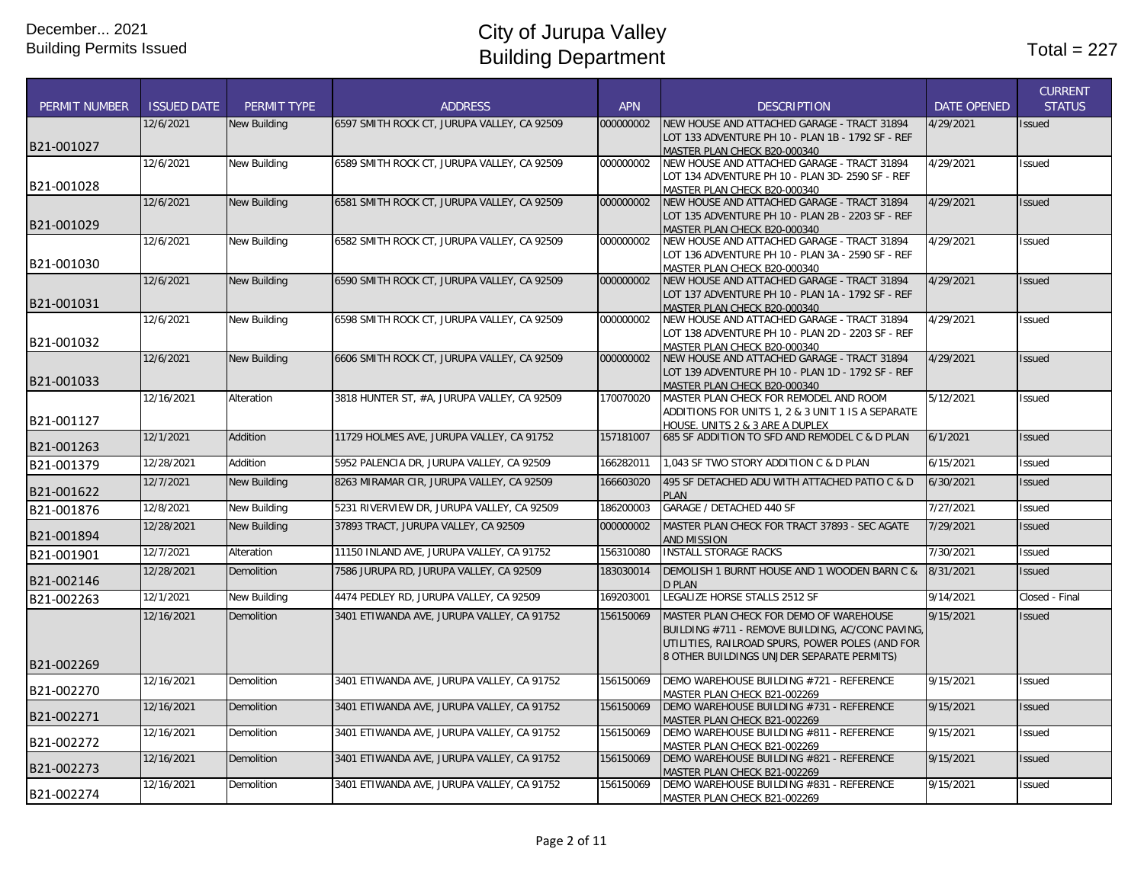|                      |                    |                     |                                             |            |                                                                                  |                    | <b>CURRENT</b> |
|----------------------|--------------------|---------------------|---------------------------------------------|------------|----------------------------------------------------------------------------------|--------------------|----------------|
| <b>PERMIT NUMBER</b> | <b>ISSUED DATE</b> | PERMIT TYPE         | <b>ADDRESS</b>                              | <b>APN</b> | <b>DESCRIPTION</b>                                                               | <b>DATE OPENED</b> | <b>STATUS</b>  |
|                      | 12/6/2021          | <b>New Building</b> | 6597 SMITH ROCK CT, JURUPA VALLEY, CA 92509 | 000000002  | NEW HOUSE AND ATTACHED GARAGE - TRACT 31894                                      | 4/29/2021          | <b>Issued</b>  |
| B21-001027           |                    |                     |                                             |            | LOT 133 ADVENTURE PH 10 - PLAN 1B - 1792 SF - REF                                |                    |                |
|                      |                    |                     |                                             |            | MASTER PLAN CHECK B20-000340                                                     |                    |                |
|                      | 12/6/2021          | New Building        | 6589 SMITH ROCK CT, JURUPA VALLEY, CA 92509 | 000000002  | NEW HOUSE AND ATTACHED GARAGE - TRACT 31894                                      | 4/29/2021          | <b>Issued</b>  |
| B21-001028           |                    |                     |                                             |            | LOT 134 ADVENTURE PH 10 - PLAN 3D- 2590 SF - REF<br>MASTER PLAN CHECK B20-000340 |                    |                |
|                      | 12/6/2021          | <b>New Building</b> | 6581 SMITH ROCK CT, JURUPA VALLEY, CA 92509 | 000000002  | NEW HOUSE AND ATTACHED GARAGE - TRACT 31894                                      | 4/29/2021          | <b>Issued</b>  |
|                      |                    |                     |                                             |            | LOT 135 ADVENTURE PH 10 - PLAN 2B - 2203 SF - REF                                |                    |                |
| B21-001029           |                    |                     |                                             |            | MASTER PLAN CHECK B20-000340                                                     |                    |                |
|                      | 12/6/2021          | <b>New Building</b> | 6582 SMITH ROCK CT, JURUPA VALLEY, CA 92509 | 000000002  | NEW HOUSE AND ATTACHED GARAGE - TRACT 31894                                      | 4/29/2021          | <b>Issued</b>  |
|                      |                    |                     |                                             |            | LOT 136 ADVENTURE PH 10 - PLAN 3A - 2590 SF - REF                                |                    |                |
| B21-001030           |                    |                     |                                             |            | MASTER PLAN CHECK B20-000340                                                     |                    |                |
|                      | 12/6/2021          | <b>New Building</b> | 6590 SMITH ROCK CT, JURUPA VALLEY, CA 92509 | 000000002  | NEW HOUSE AND ATTACHED GARAGE - TRACT 31894                                      | 4/29/2021          | <b>Issued</b>  |
| B21-001031           |                    |                     |                                             |            | LOT 137 ADVENTURE PH 10 - PLAN 1A - 1792 SF - REF                                |                    |                |
|                      | 12/6/2021          | <b>New Building</b> | 6598 SMITH ROCK CT, JURUPA VALLEY, CA 92509 | 000000002  | MASTER PLAN CHECK B20-000340<br>NEW HOUSE AND ATTACHED GARAGE - TRACT 31894      | 4/29/2021          | <b>Issued</b>  |
|                      |                    |                     |                                             |            | LOT 138 ADVENTURE PH 10 - PLAN 2D - 2203 SF - REF                                |                    |                |
| B21-001032           |                    |                     |                                             |            | MASTER PLAN CHECK B20-000340                                                     |                    |                |
|                      | 12/6/2021          | <b>New Building</b> | 6606 SMITH ROCK CT, JURUPA VALLEY, CA 92509 | 000000002  | NEW HOUSE AND ATTACHED GARAGE - TRACT 31894                                      | 4/29/2021          | <b>Issued</b>  |
|                      |                    |                     |                                             |            | LOT 139 ADVENTURE PH 10 - PLAN 1D - 1792 SF - REF                                |                    |                |
| B21-001033           |                    |                     |                                             |            | MASTER PLAN CHECK B20-000340                                                     |                    |                |
|                      | 12/16/2021         | Alteration          | 3818 HUNTER ST, #A, JURUPA VALLEY, CA 92509 | 170070020  | MASTER PLAN CHECK FOR REMODEL AND ROOM                                           | 5/12/2021          | Issued         |
|                      |                    |                     |                                             |            | ADDITIONS FOR UNITS 1, 2 & 3 UNIT 1 IS A SEPARATE                                |                    |                |
| B21-001127           |                    |                     |                                             |            | HOUSE. UNITS 2 & 3 ARE A DUPLEX                                                  |                    |                |
| B21-001263           | 12/1/2021          | Addition            | 11729 HOLMES AVE, JURUPA VALLEY, CA 91752   | 157181007  | 685 SF ADDITION TO SFD AND REMODEL C & D PLAN                                    | 6/1/2021           | <b>Issued</b>  |
| B21-001379           | 12/28/2021         | Addition            | 5952 PALENCIA DR, JURUPA VALLEY, CA 92509   | 166282011  | 1,043 SF TWO STORY ADDITION C & D PLAN                                           | 6/15/2021          | Issued         |
|                      | 12/7/2021          | <b>New Building</b> | 8263 MIRAMAR CIR, JURUPA VALLEY, CA 92509   | 166603020  | 495 SF DETACHED ADU WITH ATTACHED PATIO C & D                                    | 6/30/2021          | <b>Issued</b>  |
| B21-001622           |                    |                     |                                             |            | <b>PLAN</b>                                                                      |                    |                |
| B21-001876           | 12/8/2021          | <b>New Building</b> | 5231 RIVERVIEW DR, JURUPA VALLEY, CA 92509  | 186200003  | GARAGE / DETACHED 440 SF                                                         | 7/27/2021          | Issued         |
| B21-001894           | 12/28/2021         | <b>New Building</b> | 37893 TRACT, JURUPA VALLEY, CA 92509        | 000000002  | MASTER PLAN CHECK FOR TRACT 37893 - SEC AGATE<br><b>AND MISSION</b>              | 7/29/2021          | <b>Issued</b>  |
| B21-001901           | 12/7/2021          | Alteration          | 11150 INLAND AVE, JURUPA VALLEY, CA 91752   | 156310080  | <b>INSTALL STORAGE RACKS</b>                                                     | 7/30/2021          | Issued         |
|                      | 12/28/2021         | <b>Demolition</b>   | 7586 JURUPA RD, JURUPA VALLEY, CA 92509     | 183030014  | DEMOLISH 1 BURNT HOUSE AND 1 WOODEN BARN C &                                     | 8/31/2021          | <b>Issued</b>  |
| B21-002146           |                    |                     |                                             |            | <b>D PLAN</b>                                                                    |                    |                |
| B21-002263           | 12/1/2021          | New Building        | 4474 PEDLEY RD, JURUPA VALLEY, CA 92509     | 169203001  | LEGALIZE HORSE STALLS 2512 SF                                                    | 9/14/2021          | Closed - Final |
|                      | 12/16/2021         | Demolition          | 3401 ETIWANDA AVE, JURUPA VALLEY, CA 91752  | 156150069  | MASTER PLAN CHECK FOR DEMO OF WAREHOUSE                                          | 9/15/2021          | <b>Issued</b>  |
|                      |                    |                     |                                             |            | BUILDING #711 - REMOVE BUILDING, AC/CONC PAVING,                                 |                    |                |
|                      |                    |                     |                                             |            | UTILITIES, RAILROAD SPURS, POWER POLES (AND FOR                                  |                    |                |
|                      |                    |                     |                                             |            | 8 OTHER BUILDINGS UNJDER SEPARATE PERMITS)                                       |                    |                |
| B21-002269           |                    |                     |                                             |            |                                                                                  |                    |                |
| B21-002270           | 12/16/2021         | <b>Demolition</b>   | 3401 ETIWANDA AVE, JURUPA VALLEY, CA 91752  | 156150069  | DEMO WAREHOUSE BUILDING #721 - REFERENCE                                         | 9/15/2021          | <b>Issued</b>  |
|                      | 12/16/2021         | <b>Demolition</b>   | 3401 ETIWANDA AVE, JURUPA VALLEY, CA 91752  | 156150069  | MASTER PLAN CHECK B21-002269<br>DEMO WAREHOUSE BUILDING #731 - REFERENCE         | 9/15/2021          | <b>Issued</b>  |
| B21-002271           |                    |                     |                                             |            | MASTER PLAN CHECK B21-002269                                                     |                    |                |
|                      | 12/16/2021         | <b>Demolition</b>   | 3401 ETIWANDA AVE, JURUPA VALLEY, CA 91752  | 156150069  | DEMO WAREHOUSE BUILDING #811 - REFERENCE                                         | 9/15/2021          | <b>Issued</b>  |
| B21-002272           |                    |                     |                                             |            | MASTER PLAN CHECK B21-002269                                                     |                    |                |
|                      | 12/16/2021         | Demolition          | 3401 ETIWANDA AVE, JURUPA VALLEY, CA 91752  | 156150069  | DEMO WAREHOUSE BUILDING #821 - REFERENCE                                         | 9/15/2021          | <b>Issued</b>  |
| B21-002273           |                    |                     |                                             |            | MASTER PLAN CHECK B21-002269                                                     |                    |                |
|                      | 12/16/2021         | <b>Demolition</b>   | 3401 ETIWANDA AVE, JURUPA VALLEY, CA 91752  | 156150069  | DEMO WAREHOUSE BUILDING #831 - REFERENCE                                         | 9/15/2021          | <b>Issued</b>  |
| B21-002274           |                    |                     |                                             |            | MASTER PLAN CHECK B21-002269                                                     |                    |                |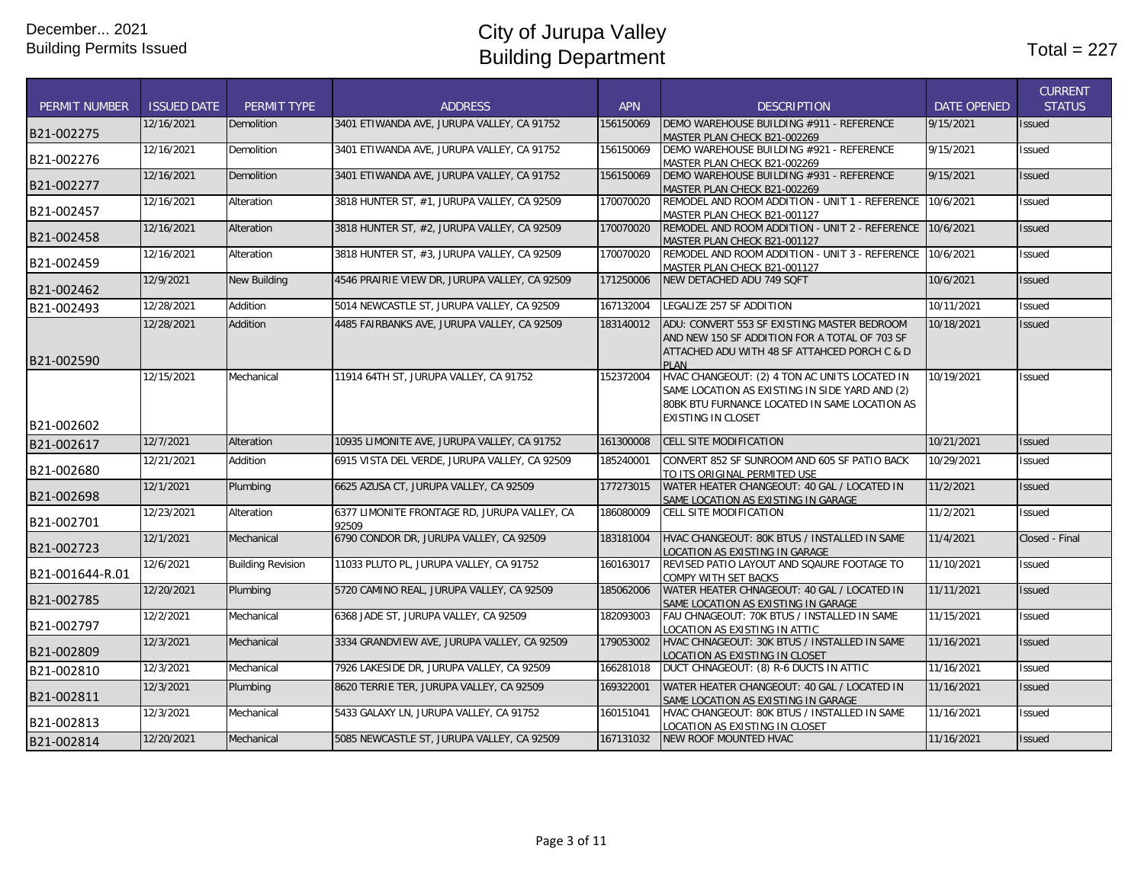|                      |                    |                          |                                                       |            |                                                                                                                                                                               |                    | <b>CURRENT</b> |
|----------------------|--------------------|--------------------------|-------------------------------------------------------|------------|-------------------------------------------------------------------------------------------------------------------------------------------------------------------------------|--------------------|----------------|
| <b>PERMIT NUMBER</b> | <b>ISSUED DATE</b> | PERMIT TYPE              | <b>ADDRESS</b>                                        | <b>APN</b> | <b>DESCRIPTION</b>                                                                                                                                                            | <b>DATE OPENED</b> | <b>STATUS</b>  |
| B21-002275           | 12/16/2021         | Demolition               | 3401 ETIWANDA AVE, JURUPA VALLEY, CA 91752            | 156150069  | DEMO WAREHOUSE BUILDING #911 - REFERENCE<br>MASTER PLAN CHECK B21-002269                                                                                                      | 9/15/2021          | Issued         |
| B21-002276           | 12/16/2021         | Demolition               | 3401 ETIWANDA AVE, JURUPA VALLEY, CA 91752            | 156150069  | DEMO WAREHOUSE BUILDING #921 - REFERENCE<br>MASTER PLAN CHECK B21-002269                                                                                                      | 9/15/2021          | Issued         |
| B21-002277           | 12/16/2021         | <b>Demolition</b>        | 3401 ETIWANDA AVE, JURUPA VALLEY, CA 91752            | 156150069  | DEMO WAREHOUSE BUILDING #931 - REFERENCE<br>MASTER PLAN CHECK B21-002269                                                                                                      | 9/15/2021          | <b>Issued</b>  |
| B21-002457           | 12/16/2021         | Alteration               | 3818 HUNTER ST, #1, JURUPA VALLEY, CA 92509           | 170070020  | REMODEL AND ROOM ADDITION - UNIT 1 - REFERENCE<br>MASTER PLAN CHECK B21-001127                                                                                                | 10/6/2021          | Issued         |
| B21-002458           | 12/16/2021         | Alteration               | 3818 HUNTER ST, #2, JURUPA VALLEY, CA 92509           | 170070020  | REMODEL AND ROOM ADDITION - UNIT 2 - REFERENCE<br>MASTER PLAN CHECK B21-001127                                                                                                | 10/6/2021          | Issued         |
| B21-002459           | 12/16/2021         | Alteration               | 3818 HUNTER ST, #3, JURUPA VALLEY, CA 92509           | 170070020  | REMODEL AND ROOM ADDITION - UNIT 3 - REFERENCE 10/6/2021<br>MASTER PLAN CHECK B21-001127                                                                                      |                    | Issued         |
| B21-002462           | 12/9/2021          | <b>New Building</b>      | 4546 PRAIRIE VIEW DR, JURUPA VALLEY, CA 92509         | 171250006  | NEW DETACHED ADU 749 SQFT                                                                                                                                                     | 10/6/2021          | <b>Issued</b>  |
| B21-002493           | 12/28/2021         | Addition                 | 5014 NEWCASTLE ST, JURUPA VALLEY, CA 92509            | 167132004  | LEGALIZE 257 SF ADDITION                                                                                                                                                      | 10/11/2021         | Issued         |
| B21-002590           | 12/28/2021         | Addition                 | 4485 FAIRBANKS AVE, JURUPA VALLEY, CA 92509           | 183140012  | ADU: CONVERT 553 SF EXISTING MASTER BEDROOM<br>AND NEW 150 SF ADDITION FOR A TOTAL OF 703 SF<br>ATTACHED ADU WITH 48 SF ATTAHCED PORCH C & D<br>PI AN                         | 10/18/2021         | Issued         |
|                      | 12/15/2021         | Mechanical               | 11914 64TH ST, JURUPA VALLEY, CA 91752                | 152372004  | HVAC CHANGEOUT: (2) 4 TON AC UNITS LOCATED IN<br>SAME LOCATION AS EXISTING IN SIDE YARD AND (2)<br>80BK BTU FURNANCE LOCATED IN SAME LOCATION AS<br><b>EXISTING IN CLOSET</b> | 10/19/2021         | Issued         |
| B21-002602           | 12/7/2021          | Alteration               | 10935 LIMONITE AVE, JURUPA VALLEY, CA 91752           | 161300008  | CELL SITE MODIFICATION                                                                                                                                                        | 10/21/2021         | Issued         |
| B21-002617           | 12/21/2021         | Addition                 | 6915 VISTA DEL VERDE, JURUPA VALLEY, CA 92509         | 185240001  | CONVERT 852 SF SUNROOM AND 605 SF PATIO BACK                                                                                                                                  | 10/29/2021         | Issued         |
| B21-002680           |                    |                          |                                                       |            | TO ITS ORIGINAL PERMITED USE                                                                                                                                                  |                    |                |
| B21-002698           | 12/1/2021          | Plumbing                 | 6625 AZUSA CT, JURUPA VALLEY, CA 92509                | 177273015  | WATER HEATER CHANGEOUT: 40 GAL / LOCATED IN<br>SAME LOCATION AS EXISTING IN GARAGE                                                                                            | 11/2/2021          | <b>Issued</b>  |
| B21-002701           | 12/23/2021         | Alteration               | 6377 LIMONITE FRONTAGE RD, JURUPA VALLEY, CA<br>92509 | 186080009  | <b>CELL SITE MODIFICATION</b>                                                                                                                                                 | 11/2/2021          | Issued         |
| B21-002723           | 12/1/2021          | Mechanical               | 6790 CONDOR DR, JURUPA VALLEY, CA 92509               | 183181004  | HVAC CHANGEOUT: 80K BTUS / INSTALLED IN SAME<br>OCATION AS EXISTING IN GARAGE                                                                                                 | 11/4/2021          | Closed - Final |
| B21-001644-R.01      | 12/6/2021          | <b>Building Revision</b> | 11033 PLUTO PL, JURUPA VALLEY, CA 91752               | 160163017  | REVISED PATIO LAYOUT AND SQAURE FOOTAGE TO<br>COMPY WITH SET BACKS                                                                                                            | 11/10/2021         | <b>Issued</b>  |
| B21-002785           | 12/20/2021         | Plumbing                 | 5720 CAMINO REAL, JURUPA VALLEY, CA 92509             | 185062006  | WATER HEATER CHNAGEOUT: 40 GAL / LOCATED IN<br>SAME LOCATION AS EXISTING IN GARAGE                                                                                            | 11/11/2021         | <b>Issued</b>  |
| B21-002797           | 12/2/2021          | Mechanical               | 6368 JADE ST, JURUPA VALLEY, CA 92509                 | 182093003  | FAU CHNAGEOUT: 70K BTUS / INSTALLED IN SAME<br>LOCATION AS EXISTING IN ATTIC                                                                                                  | 11/15/2021         | Issued         |
| B21-002809           | 12/3/2021          | Mechanical               | 3334 GRANDVIEW AVE, JURUPA VALLEY, CA 92509           | 179053002  | HVAC CHNAGEOUT: 30K BTUS / INSTALLED IN SAME<br>LOCATION AS EXISTING IN CLOSET                                                                                                | 11/16/2021         | <b>Issued</b>  |
| B21-002810           | 12/3/2021          | Mechanical               | 7926 LAKESIDE DR, JURUPA VALLEY, CA 92509             | 166281018  | DUCT CHNAGEOUT: (8) R-6 DUCTS IN ATTIC                                                                                                                                        | 11/16/2021         | Issued         |
| B21-002811           | 12/3/2021          | Plumbing                 | 8620 TERRIE TER, JURUPA VALLEY, CA 92509              | 169322001  | WATER HEATER CHANGEOUT: 40 GAL / LOCATED IN<br>SAME LOCATION AS EXISTING IN GARAGE                                                                                            | 11/16/2021         | <b>Issued</b>  |
| B21-002813           | 12/3/2021          | Mechanical               | 5433 GALAXY LN, JURUPA VALLEY, CA 91752               | 160151041  | HVAC CHANGEOUT: 80K BTUS / INSTALLED IN SAME<br><b>OCATION AS EXISTING IN CLOSET</b>                                                                                          | 11/16/2021         | Issued         |
| B21-002814           | 12/20/2021         | Mechanical               | 5085 NEWCASTLE ST, JURUPA VALLEY, CA 92509            | 167131032  | NEW ROOF MOUNTED HVAC                                                                                                                                                         | 11/16/2021         | Issued         |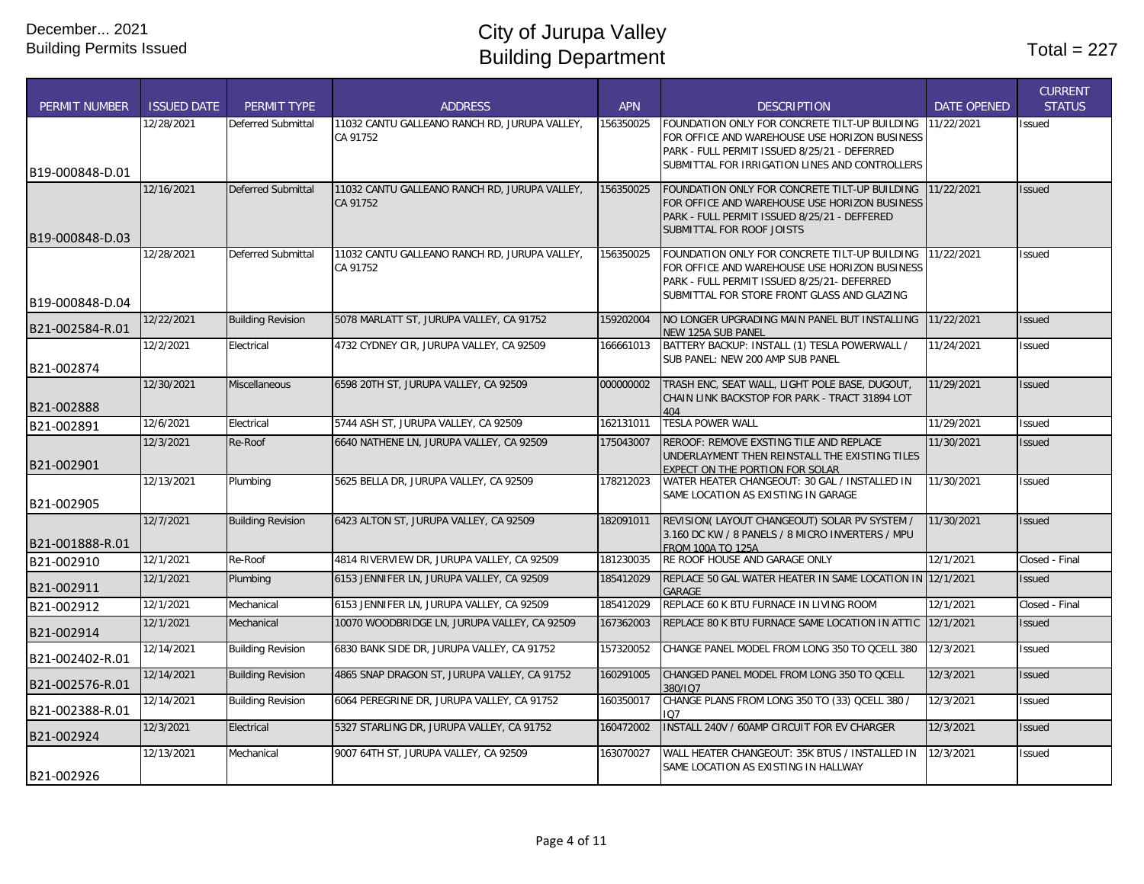| <b>PERMIT NUMBER</b> | <b>ISSUED DATE</b> | <b>PERMIT TYPE</b>        | <b>ADDRESS</b>                                            | <b>APN</b> | <b>DESCRIPTION</b>                                                                                        | <b>DATE OPENED</b> | <b>CURRENT</b><br><b>STATUS</b> |
|----------------------|--------------------|---------------------------|-----------------------------------------------------------|------------|-----------------------------------------------------------------------------------------------------------|--------------------|---------------------------------|
|                      | 12/28/2021         | Deferred Submittal        | 11032 CANTU GALLEANO RANCH RD, JURUPA VALLEY,<br>CA 91752 | 156350025  | FOUNDATION ONLY FOR CONCRETE TILT-UP BUILDING 11/22/2021<br>FOR OFFICE AND WAREHOUSE USE HORIZON BUSINESS |                    | <b>Issued</b>                   |
|                      |                    |                           |                                                           |            | PARK - FULL PERMIT ISSUED 8/25/21 - DEFERRED                                                              |                    |                                 |
| B19-000848-D.01      |                    |                           |                                                           |            | SUBMITTAL FOR IRRIGATION LINES AND CONTROLLERS                                                            |                    |                                 |
|                      | 12/16/2021         | <b>Deferred Submittal</b> | 11032 CANTU GALLEANO RANCH RD, JURUPA VALLEY,             | 156350025  | FOUNDATION ONLY FOR CONCRETE TILT-UP BUILDING 11/22/2021                                                  |                    | <b>Issued</b>                   |
|                      |                    |                           | CA 91752                                                  |            | FOR OFFICE AND WAREHOUSE USE HORIZON BUSINESS<br>PARK - FULL PERMIT ISSUED 8/25/21 - DEFFERED             |                    |                                 |
| B19-000848-D.03      |                    |                           |                                                           |            | SUBMITTAL FOR ROOF JOISTS                                                                                 |                    |                                 |
|                      | 12/28/2021         | Deferred Submittal        | 11032 CANTU GALLEANO RANCH RD, JURUPA VALLEY,             | 156350025  | FOUNDATION ONLY FOR CONCRETE TILT-UP BUILDING                                                             | 11/22/2021         | Issued                          |
|                      |                    |                           | CA 91752                                                  |            | FOR OFFICE AND WAREHOUSE USE HORIZON BUSINESS                                                             |                    |                                 |
|                      |                    |                           |                                                           |            | PARK - FULL PERMIT ISSUED 8/25/21- DEFERRED<br>SUBMITTAL FOR STORE FRONT GLASS AND GLAZING                |                    |                                 |
| B19-000848-D.04      |                    |                           |                                                           |            |                                                                                                           |                    |                                 |
| B21-002584-R.01      | 12/22/2021         | <b>Building Revision</b>  | 5078 MARLATT ST, JURUPA VALLEY, CA 91752                  | 159202004  | NO LONGER UPGRADING MAIN PANEL BUT INSTALLING<br>NEW 125A SUB PANEL                                       | 11/22/2021         | <b>Issued</b>                   |
|                      | 12/2/2021          | Electrical                | 4732 CYDNEY CIR, JURUPA VALLEY, CA 92509                  | 166661013  | BATTERY BACKUP: INSTALL (1) TESLA POWERWALL /                                                             | 11/24/2021         | Issued                          |
| B21-002874           |                    |                           |                                                           |            | SUB PANEL: NEW 200 AMP SUB PANEL                                                                          |                    |                                 |
|                      | 12/30/2021         | Miscellaneous             | 6598 20TH ST, JURUPA VALLEY, CA 92509                     | 000000002  | TRASH ENC, SEAT WALL, LIGHT POLE BASE, DUGOUT,                                                            | 11/29/2021         | <b>Issued</b>                   |
| B21-002888           |                    |                           |                                                           |            | CHAIN LINK BACKSTOP FOR PARK - TRACT 31894 LOT<br>404                                                     |                    |                                 |
| B21-002891           | 12/6/2021          | Electrical                | 5744 ASH ST, JURUPA VALLEY, CA 92509                      | 162131011  | <b>TESLA POWER WALL</b>                                                                                   | 11/29/2021         | <b>Issued</b>                   |
| B21-002901           | 12/3/2021          | Re-Roof                   | 6640 NATHENE LN, JURUPA VALLEY, CA 92509                  | 175043007  | REROOF: REMOVE EXSTING TILE AND REPLACE<br>UNDERLAYMENT THEN REINSTALL THE EXISTING TILES                 | 11/30/2021         | <b>Issued</b>                   |
|                      | 12/13/2021         | Plumbing                  | 5625 BELLA DR, JURUPA VALLEY, CA 92509                    | 178212023  | EXPECT ON THE PORTION FOR SOLAR<br>WATER HEATER CHANGEOUT: 30 GAL / INSTALLED IN                          | 11/30/2021         | <b>Issued</b>                   |
| B21-002905           |                    |                           |                                                           |            | SAME LOCATION AS EXISTING IN GARAGE                                                                       |                    |                                 |
|                      | 12/7/2021          | <b>Building Revision</b>  | 6423 ALTON ST, JURUPA VALLEY, CA 92509                    | 182091011  | REVISION( LAYOUT CHANGEOUT) SOLAR PV SYSTEM /                                                             | 11/30/2021         | <b>Issued</b>                   |
| B21-001888-R.01      |                    |                           |                                                           |            | 3.160 DC KW / 8 PANELS / 8 MICRO INVERTERS / MPU<br><b>FROM 100A TO 125A</b>                              |                    |                                 |
| B21-002910           | 12/1/2021          | Re-Roof                   | 4814 RIVERVIEW DR, JURUPA VALLEY, CA 92509                | 181230035  | RE ROOF HOUSE AND GARAGE ONLY                                                                             | 12/1/2021          | Closed - Final                  |
| B21-002911           | 12/1/2021          | Plumbing                  | 6153 JENNIFER LN, JURUPA VALLEY, CA 92509                 | 185412029  | REPLACE 50 GAL WATER HEATER IN SAME LOCATION IN 12/1/2021<br>GARAGE                                       |                    | <b>Issued</b>                   |
| B21-002912           | 12/1/2021          | Mechanical                | 6153 JENNIFER LN, JURUPA VALLEY, CA 92509                 | 185412029  | REPLACE 60 K BTU FURNACE IN LIVING ROOM                                                                   | 12/1/2021          | Closed - Final                  |
| B21-002914           | 12/1/2021          | Mechanical                | 10070 WOODBRIDGE LN, JURUPA VALLEY, CA 92509              | 167362003  | REPLACE 80 K BTU FURNACE SAME LOCATION IN ATTIC 12/1/2021                                                 |                    | <b>Issued</b>                   |
| B21-002402-R.01      | 12/14/2021         | <b>Building Revision</b>  | 6830 BANK SIDE DR, JURUPA VALLEY, CA 91752                | 157320052  | CHANGE PANEL MODEL FROM LONG 350 TO OCELL 380                                                             | 12/3/2021          | Issued                          |
| B21-002576-R.01      | 12/14/2021         | <b>Building Revision</b>  | 4865 SNAP DRAGON ST, JURUPA VALLEY, CA 91752              | 160291005  | CHANGED PANEL MODEL FROM LONG 350 TO OCELL<br>380/107                                                     | 12/3/2021          | <b>Issued</b>                   |
| B21-002388-R.01      | 12/14/2021         | <b>Building Revision</b>  | 6064 PEREGRINE DR, JURUPA VALLEY, CA 91752                | 160350017  | CHANGE PLANS FROM LONG 350 TO (33) QCELL 380 /<br>IO7                                                     | 12/3/2021          | <b>Issued</b>                   |
| B21-002924           | 12/3/2021          | Electrical                | 5327 STARLING DR, JURUPA VALLEY, CA 91752                 | 160472002  | INSTALL 240V / 60AMP CIRCUIT FOR EV CHARGER                                                               | 12/3/2021          | <b>Issued</b>                   |
|                      | 12/13/2021         | Mechanical                | 9007 64TH ST, JURUPA VALLEY, CA 92509                     | 163070027  | WALL HEATER CHANGEOUT: 35K BTUS / INSTALLED IN                                                            | 12/3/2021          | <b>Issued</b>                   |
| B21-002926           |                    |                           |                                                           |            | SAME LOCATION AS EXISTING IN HALLWAY                                                                      |                    |                                 |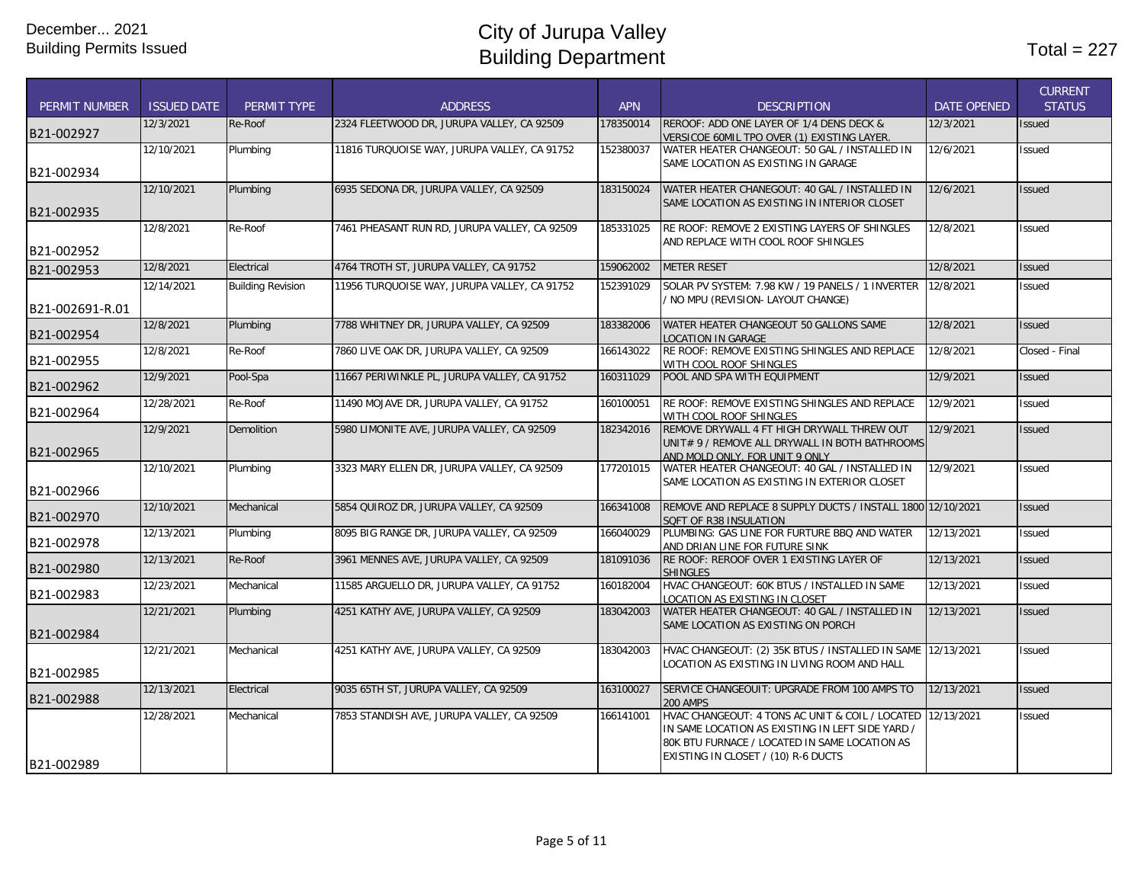| <b>PERMIT NUMBER</b>          | <b>ISSUED DATE</b> | <b>PERMIT TYPE</b>       | <b>ADDRESS</b>                                | <b>APN</b> | <b>DESCRIPTION</b>                                                                                                                                                                                     | <b>DATE OPENED</b> | <b>CURRENT</b><br><b>STATUS</b> |
|-------------------------------|--------------------|--------------------------|-----------------------------------------------|------------|--------------------------------------------------------------------------------------------------------------------------------------------------------------------------------------------------------|--------------------|---------------------------------|
| B21-002927                    | 12/3/2021          | Re-Roof                  | 2324 FLEETWOOD DR, JURUPA VALLEY, CA 92509    | 178350014  | REROOF: ADD ONE LAYER OF 1/4 DENS DECK &<br>VERSICOE 60MIL TPO OVER (1) EXISTING LAYER.                                                                                                                | 12/3/2021          | Issued                          |
| B21-002934                    | 12/10/2021         | Plumbing                 | 11816 TURQUOISE WAY, JURUPA VALLEY, CA 91752  | 152380037  | WATER HEATER CHANGEOUT: 50 GAL / INSTALLED IN<br>SAME LOCATION AS EXISTING IN GARAGE                                                                                                                   | 12/6/2021          | Issued                          |
| B21-002935                    | 12/10/2021         | Plumbing                 | 6935 SEDONA DR, JURUPA VALLEY, CA 92509       | 183150024  | WATER HEATER CHANEGOUT: 40 GAL / INSTALLED IN<br>SAME LOCATION AS EXISTING IN INTERIOR CLOSET                                                                                                          | 12/6/2021          | <b>Issued</b>                   |
| B21-002952                    | 12/8/2021          | Re-Roof                  | 7461 PHEASANT RUN RD, JURUPA VALLEY, CA 92509 | 185331025  | RE ROOF: REMOVE 2 EXISTING LAYERS OF SHINGLES<br>AND REPLACE WITH COOL ROOF SHINGLES                                                                                                                   | 12/8/2021          | <b>Issued</b>                   |
| B21-002953                    | 12/8/2021          | Electrical               | 4764 TROTH ST, JURUPA VALLEY, CA 91752        | 159062002  | <b>METER RESET</b>                                                                                                                                                                                     | 12/8/2021          | <b>Issued</b>                   |
|                               | 12/14/2021         | <b>Building Revision</b> | 11956 TURQUOISE WAY, JURUPA VALLEY, CA 91752  | 152391029  | SOLAR PV SYSTEM: 7.98 KW / 19 PANELS / 1 INVERTER<br>/ NO MPU (REVISION- LAYOUT CHANGE)                                                                                                                | 12/8/2021          | Issued                          |
| B21-002691-R.01<br>B21-002954 | 12/8/2021          | Plumbing                 | 7788 WHITNEY DR, JURUPA VALLEY, CA 92509      | 183382006  | WATER HEATER CHANGEOUT 50 GALLONS SAME<br><b>LOCATION IN GARAGE</b>                                                                                                                                    | 12/8/2021          | <b>Issued</b>                   |
| B21-002955                    | 12/8/2021          | Re-Roof                  | 7860 LIVE OAK DR, JURUPA VALLEY, CA 92509     | 166143022  | RE ROOF: REMOVE EXISTING SHINGLES AND REPLACE<br>WITH COOL ROOF SHINGLES                                                                                                                               | 12/8/2021          | Closed - Final                  |
| B21-002962                    | 12/9/2021          | Pool-Spa                 | 11667 PERIWINKLE PL, JURUPA VALLEY, CA 91752  | 160311029  | POOL AND SPA WITH EQUIPMENT                                                                                                                                                                            | 12/9/2021          | <b>Issued</b>                   |
| B21-002964                    | 12/28/2021         | Re-Roof                  | 11490 MOJAVE DR, JURUPA VALLEY, CA 91752      | 160100051  | RE ROOF: REMOVE EXISTING SHINGLES AND REPLACE<br>WITH COOL ROOF SHINGLES                                                                                                                               | 12/9/2021          | <b>Issued</b>                   |
| B21-002965                    | 12/9/2021          | Demolition               | 5980 LIMONITE AVE, JURUPA VALLEY, CA 92509    | 182342016  | REMOVE DRYWALL 4 FT HIGH DRYWALL THREW OUT<br>UNIT# 9 / REMOVE ALL DRYWALL IN BOTH BATHROOMS<br>AND MOLD ONLY. FOR UNIT 9 ONLY                                                                         | 12/9/2021          | <b>Issued</b>                   |
| B21-002966                    | 12/10/2021         | Plumbing                 | 3323 MARY ELLEN DR, JURUPA VALLEY, CA 92509   | 177201015  | WATER HEATER CHANGEOUT: 40 GAL / INSTALLED IN<br>SAME LOCATION AS EXISTING IN EXTERIOR CLOSET                                                                                                          | 12/9/2021          | <b>Issued</b>                   |
| B21-002970                    | 12/10/2021         | Mechanical               | 5854 QUIROZ DR, JURUPA VALLEY, CA 92509       | 166341008  | REMOVE AND REPLACE 8 SUPPLY DUCTS / INSTALL 1800 12/10/2021<br>SQFT OF R38 INSULATION                                                                                                                  |                    | <b>Issued</b>                   |
| B21-002978                    | 12/13/2021         | Plumbing                 | 8095 BIG RANGE DR, JURUPA VALLEY, CA 92509    | 166040029  | PLUMBING: GAS LINE FOR FURTURE BBQ AND WATER<br>AND DRIAN LINE FOR FUTURE SINK                                                                                                                         | 12/13/2021         | Issued                          |
| B21-002980                    | 12/13/2021         | Re-Roof                  | 3961 MENNES AVE, JURUPA VALLEY, CA 92509      | 181091036  | RE ROOF: REROOF OVER 1 EXISTING LAYER OF<br><b>SHINGLES</b>                                                                                                                                            | 12/13/2021         | <b>Issued</b>                   |
| B21-002983                    | 12/23/2021         | Mechanical               | 11585 ARGUELLO DR, JURUPA VALLEY, CA 91752    | 160182004  | HVAC CHANGEOUT: 60K BTUS / INSTALLED IN SAME<br>LOCATION AS EXISTING IN CLOSET                                                                                                                         | 12/13/2021         | Issued                          |
| B21-002984                    | 12/21/2021         | Plumbing                 | 4251 KATHY AVE, JURUPA VALLEY, CA 92509       | 183042003  | WATER HEATER CHANGEOUT: 40 GAL / INSTALLED IN<br>SAME LOCATION AS EXISTING ON PORCH                                                                                                                    | 12/13/2021         | <b>Issued</b>                   |
| B21-002985                    | 12/21/2021         | Mechanical               | 4251 KATHY AVE, JURUPA VALLEY, CA 92509       | 183042003  | HVAC CHANGEOUT: (2) 35K BTUS / INSTALLED IN SAME 12/13/2021<br>LOCATION AS EXISTING IN LIVING ROOM AND HALL                                                                                            |                    | Issued                          |
| B21-002988                    | 12/13/2021         | Electrical               | 9035 65TH ST, JURUPA VALLEY, CA 92509         | 163100027  | SERVICE CHANGEOUIT: UPGRADE FROM 100 AMPS TO<br><b>200 AMPS</b>                                                                                                                                        | 12/13/2021         | <b>Issued</b>                   |
| B21-002989                    | 12/28/2021         | Mechanical               | 7853 STANDISH AVE, JURUPA VALLEY, CA 92509    | 166141001  | HVAC CHANGEOUT: 4 TONS AC UNIT & COIL / LOCATED 12/13/2021<br>IN SAME LOCATION AS EXISTING IN LEFT SIDE YARD /<br>80K BTU FURNACE / LOCATED IN SAME LOCATION AS<br>EXISTING IN CLOSET / (10) R-6 DUCTS |                    | Issued                          |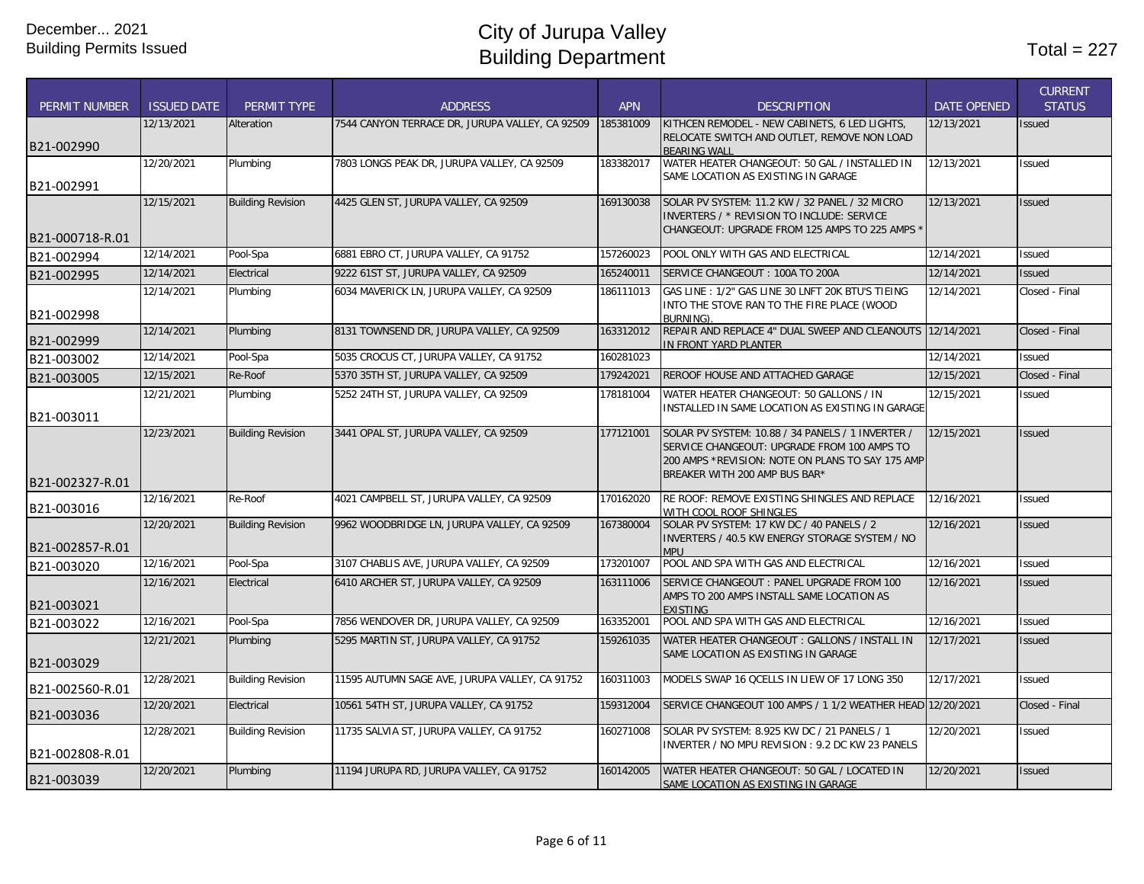|                      |                    |                          |                                                 |            |                                                                                                 |                    | <b>CURRENT</b> |
|----------------------|--------------------|--------------------------|-------------------------------------------------|------------|-------------------------------------------------------------------------------------------------|--------------------|----------------|
| <b>PERMIT NUMBER</b> | <b>ISSUED DATE</b> | PERMIT TYPE              | <b>ADDRESS</b>                                  | <b>APN</b> | <b>DESCRIPTION</b>                                                                              | <b>DATE OPENED</b> | <b>STATUS</b>  |
|                      | 12/13/2021         | Alteration               | 7544 CANYON TERRACE DR, JURUPA VALLEY, CA 92509 | 185381009  | KITHCEN REMODEL - NEW CABINETS, 6 LED LIGHTS,                                                   | 12/13/2021         | Issued         |
| B21-002990           |                    |                          |                                                 |            | RELOCATE SWITCH AND OUTLET, REMOVE NON LOAD<br><b>BEARING WALL</b>                              |                    |                |
|                      | 12/20/2021         | Plumbing                 | 7803 LONGS PEAK DR, JURUPA VALLEY, CA 92509     | 183382017  | WATER HEATER CHANGEOUT: 50 GAL / INSTALLED IN                                                   | 12/13/2021         | Issued         |
| B21-002991           |                    |                          |                                                 |            | SAME LOCATION AS EXISTING IN GARAGE                                                             |                    |                |
|                      | 12/15/2021         | <b>Building Revision</b> | 4425 GLEN ST, JURUPA VALLEY, CA 92509           | 169130038  | SOLAR PV SYSTEM: 11.2 KW / 32 PANEL / 32 MICRO                                                  | 12/13/2021         | <b>Issued</b>  |
|                      |                    |                          |                                                 |            | INVERTERS / * REVISION TO INCLUDE: SERVICE<br>CHANGEOUT: UPGRADE FROM 125 AMPS TO 225 AMPS      |                    |                |
| B21-000718-R.01      |                    |                          |                                                 |            |                                                                                                 |                    |                |
| B21-002994           | 12/14/2021         | Pool-Spa                 | 6881 EBRO CT, JURUPA VALLEY, CA 91752           | 157260023  | POOL ONLY WITH GAS AND ELECTRICAL                                                               | 12/14/2021         | Issued         |
| B21-002995           | 12/14/2021         | Electrical               | 9222 61ST ST, JURUPA VALLEY, CA 92509           | 165240011  | SERVICE CHANGEOUT: 100A TO 200A                                                                 | 12/14/2021         | <b>Issued</b>  |
|                      | 12/14/2021         | Plumbing                 | 6034 MAVERICK LN, JURUPA VALLEY, CA 92509       | 186111013  | GAS LINE: 1/2" GAS LINE 30 LNFT 20K BTU'S TIEING                                                | 12/14/2021         | Closed - Final |
| B21-002998           |                    |                          |                                                 |            | INTO THE STOVE RAN TO THE FIRE PLACE (WOOD<br><b>BURNING)</b>                                   |                    |                |
| B21-002999           | 12/14/2021         | Plumbing                 | 8131 TOWNSEND DR, JURUPA VALLEY, CA 92509       | 163312012  | REPAIR AND REPLACE 4" DUAL SWEEP AND CLEANOUTS 12/14/2021<br>IN FRONT YARD PLANTER              |                    | Closed - Final |
| B21-003002           | 12/14/2021         | Pool-Spa                 | 5035 CROCUS CT, JURUPA VALLEY, CA 91752         | 160281023  |                                                                                                 | 12/14/2021         | Issued         |
| B21-003005           | 12/15/2021         | Re-Roof                  | 5370 35TH ST, JURUPA VALLEY, CA 92509           | 179242021  | REROOF HOUSE AND ATTACHED GARAGE                                                                | 12/15/2021         | Closed - Final |
|                      | 12/21/2021         | Plumbing                 | 5252 24TH ST, JURUPA VALLEY, CA 92509           | 178181004  | WATER HEATER CHANGEOUT: 50 GALLONS / IN                                                         | 12/15/2021         | Issued         |
| B21-003011           |                    |                          |                                                 |            | INSTALLED IN SAME LOCATION AS EXISTING IN GARAGE                                                |                    |                |
|                      | 12/23/2021         | <b>Building Revision</b> | 3441 OPAL ST, JURUPA VALLEY, CA 92509           | 177121001  | SOLAR PV SYSTEM: 10.88 / 34 PANELS / 1 INVERTER /                                               | 12/15/2021         | <b>Issued</b>  |
|                      |                    |                          |                                                 |            | SERVICE CHANGEOUT: UPGRADE FROM 100 AMPS TO<br>200 AMPS *REVISION: NOTE ON PLANS TO SAY 175 AMP |                    |                |
|                      |                    |                          |                                                 |            | BREAKER WITH 200 AMP BUS BAR*                                                                   |                    |                |
| B21-002327-R.01      | 12/16/2021         | Re-Roof                  | 4021 CAMPBELL ST, JURUPA VALLEY, CA 92509       | 170162020  | RE ROOF: REMOVE EXISTING SHINGLES AND REPLACE                                                   | 12/16/2021         | Issued         |
| B21-003016           |                    |                          |                                                 |            | WITH COOL ROOF SHINGLES                                                                         |                    |                |
|                      | 12/20/2021         | <b>Building Revision</b> | 9962 WOODBRIDGE LN, JURUPA VALLEY, CA 92509     | 167380004  | SOLAR PV SYSTEM: 17 KW DC / 40 PANELS / 2                                                       | 12/16/2021         | <b>Issued</b>  |
| B21-002857-R.01      |                    |                          |                                                 |            | INVERTERS / 40.5 KW ENERGY STORAGE SYSTEM / NO<br><b>MPU</b>                                    |                    |                |
| B21-003020           | 12/16/2021         | Pool-Spa                 | 3107 CHABLIS AVE, JURUPA VALLEY, CA 92509       | 173201007  | POOL AND SPA WITH GAS AND ELECTRICAL                                                            | 12/16/2021         | <b>Issued</b>  |
|                      | 12/16/2021         | Electrical               | 6410 ARCHER ST, JURUPA VALLEY, CA 92509         | 163111006  | SERVICE CHANGEOUT : PANEL UPGRADE FROM 100                                                      | 12/16/2021         | <b>Issued</b>  |
| B21-003021           |                    |                          |                                                 |            | AMPS TO 200 AMPS INSTALL SAME LOCATION AS<br><b>EXISTING</b>                                    |                    |                |
| B21-003022           | 12/16/2021         | Pool-Spa                 | 7856 WENDOVER DR, JURUPA VALLEY, CA 92509       | 163352001  | POOL AND SPA WITH GAS AND ELECTRICAL                                                            | 12/16/2021         | Issued         |
|                      | 12/21/2021         | Plumbing                 | 5295 MARTIN ST, JURUPA VALLEY, CA 91752         | 159261035  | WATER HEATER CHANGEOUT: GALLONS / INSTALL IN                                                    | 12/17/2021         | <b>Issued</b>  |
| B21-003029           |                    |                          |                                                 |            | SAME LOCATION AS EXISTING IN GARAGE                                                             |                    |                |
| B21-002560-R.01      | 12/28/2021         | <b>Building Revision</b> | 11595 AUTUMN SAGE AVE, JURUPA VALLEY, CA 91752  | 160311003  | MODELS SWAP 16 QCELLS IN LIEW OF 17 LONG 350                                                    | 12/17/2021         | <b>Issued</b>  |
| B21-003036           | 12/20/2021         | Electrical               | 10561 54TH ST, JURUPA VALLEY, CA 91752          | 159312004  | SERVICE CHANGEOUT 100 AMPS / 1 1/2 WEATHER HEAD 12/20/2021                                      |                    | Closed - Final |
|                      | 12/28/2021         | <b>Building Revision</b> | 11735 SALVIA ST, JURUPA VALLEY, CA 91752        | 160271008  | SOLAR PV SYSTEM: 8.925 KW DC / 21 PANELS / 1                                                    | 12/20/2021         | Issued         |
| B21-002808-R.01      |                    |                          |                                                 |            | INVERTER / NO MPU REVISION: 9.2 DC KW 23 PANELS                                                 |                    |                |
|                      | 12/20/2021         | Plumbing                 | 11194 JURUPA RD, JURUPA VALLEY, CA 91752        | 160142005  | WATER HEATER CHANGEOUT: 50 GAL / LOCATED IN                                                     | 12/20/2021         | <b>Issued</b>  |
| B21-003039           |                    |                          |                                                 |            | SAME LOCATION AS EXISTING IN GARAGE                                                             |                    |                |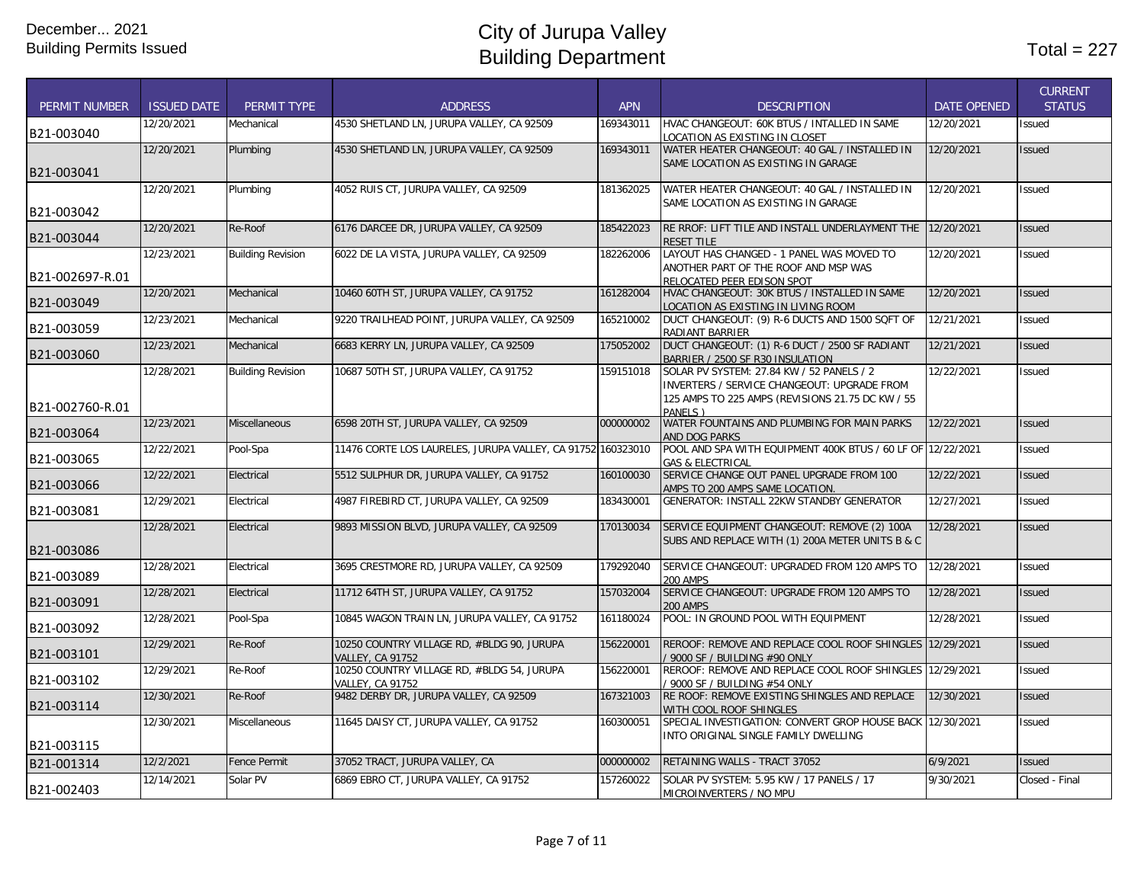|                      |                    |                          |                                                                |            |                                                                                                   |                    | <b>CURRENT</b> |
|----------------------|--------------------|--------------------------|----------------------------------------------------------------|------------|---------------------------------------------------------------------------------------------------|--------------------|----------------|
| <b>PERMIT NUMBER</b> | <b>ISSUED DATE</b> | PERMIT TYPE              | <b>ADDRESS</b>                                                 | <b>APN</b> | <b>DESCRIPTION</b>                                                                                | <b>DATE OPENED</b> | <b>STATUS</b>  |
| B21-003040           | 12/20/2021         | Mechanical               | 4530 SHETLAND LN, JURUPA VALLEY, CA 92509                      | 169343011  | HVAC CHANGEOUT: 60K BTUS / INTALLED IN SAME<br>LOCATION AS EXISTING IN CLOSET                     | 12/20/2021         | Issued         |
| B21-003041           | 12/20/2021         | Plumbing                 | 4530 SHETLAND LN, JURUPA VALLEY, CA 92509                      | 169343011  | WATER HEATER CHANGEOUT: 40 GAL / INSTALLED IN<br>SAME LOCATION AS EXISTING IN GARAGE              | 12/20/2021         | <b>Issued</b>  |
|                      | 12/20/2021         | Plumbing                 | 4052 RUIS CT, JURUPA VALLEY, CA 92509                          | 181362025  | WATER HEATER CHANGEOUT: 40 GAL / INSTALLED IN                                                     | 12/20/2021         | <b>Issued</b>  |
| B21-003042           |                    |                          |                                                                |            | SAME LOCATION AS EXISTING IN GARAGE                                                               |                    |                |
| B21-003044           | 12/20/2021         | Re-Roof                  | 6176 DARCEE DR, JURUPA VALLEY, CA 92509                        | 185422023  | RE RROF: LIFT TILE AND INSTALL UNDERLAYMENT THE 12/20/2021<br><b>RESET TILE</b>                   |                    | <b>Issued</b>  |
|                      | 12/23/2021         | <b>Building Revision</b> | 6022 DE LA VISTA, JURUPA VALLEY, CA 92509                      | 182262006  | LAYOUT HAS CHANGED - 1 PANEL WAS MOVED TO                                                         | 12/20/2021         | <b>Issued</b>  |
| B21-002697-R.01      |                    |                          |                                                                |            | ANOTHER PART OF THE ROOF AND MSP WAS<br>RELOCATED PEER EDISON SPOT                                |                    |                |
| B21-003049           | 12/20/2021         | Mechanical               | 10460 60TH ST, JURUPA VALLEY, CA 91752                         | 161282004  | HVAC CHANGEOUT: 30K BTUS / INSTALLED IN SAME<br>LOCATION AS EXISTING IN LIVING ROOM               | 12/20/2021         | <b>Issued</b>  |
| B21-003059           | 12/23/2021         | Mechanical               | 9220 TRAILHEAD POINT, JURUPA VALLEY, CA 92509                  | 165210002  | DUCT CHANGEOUT: (9) R-6 DUCTS AND 1500 SQFT OF<br>RADIANT BARRIER                                 | 12/21/2021         | Issued         |
| B21-003060           | 12/23/2021         | Mechanical               | 6683 KERRY LN, JURUPA VALLEY, CA 92509                         | 175052002  | DUCT CHANGEOUT: (1) R-6 DUCT / 2500 SF RADIANT<br>BARRIER / 2500 SF R30 INSULATION                | 12/21/2021         | <b>Issued</b>  |
|                      | 12/28/2021         | <b>Building Revision</b> | 10687 50TH ST, JURUPA VALLEY, CA 91752                         | 159151018  | SOLAR PV SYSTEM: 27.84 KW / 52 PANELS / 2<br>INVERTERS / SERVICE CHANGEOUT: UPGRADE FROM          | 12/22/2021         | Issued         |
| B21-002760-R.01      |                    |                          |                                                                |            | 125 AMPS TO 225 AMPS (REVISIONS 21.75 DC KW / 55<br>PANFIS)                                       |                    |                |
| B21-003064           | 12/23/2021         | <b>Miscellaneous</b>     | 6598 20TH ST, JURUPA VALLEY, CA 92509                          | 000000002  | WATER FOUNTAINS AND PLUMBING FOR MAIN PARKS<br><b>AND DOG PARKS</b>                               | 12/22/2021         | <b>Issued</b>  |
| B21-003065           | 12/22/2021         | Pool-Spa                 | 11476 CORTE LOS LAURELES, JURUPA VALLEY, CA 91752 160323010    |            | POOL AND SPA WITH EQUIPMENT 400K BTUS / 60 LF OF 12/22/2021<br><b>GAS &amp; ELECTRICAL</b>        |                    | <b>Issued</b>  |
| B21-003066           | 12/22/2021         | Electrical               | 5512 SULPHUR DR, JURUPA VALLEY, CA 91752                       | 160100030  | SERVICE CHANGE OUT PANEL UPGRADE FROM 100<br>AMPS TO 200 AMPS SAME LOCATION                       | 12/22/2021         | <b>Issued</b>  |
| B21-003081           | 12/29/2021         | Electrical               | 4987 FIREBIRD CT, JURUPA VALLEY, CA 92509                      | 183430001  | GENERATOR: INSTALL 22KW STANDBY GENERATOR                                                         | 12/27/2021         | Issued         |
| B21-003086           | 12/28/2021         | Electrical               | 9893 MISSION BLVD, JURUPA VALLEY, CA 92509                     | 170130034  | SERVICE EQUIPMENT CHANGEOUT: REMOVE (2) 100A<br>SUBS AND REPLACE WITH (1) 200A METER UNITS B & C  | 12/28/2021         | <b>Issued</b>  |
| B21-003089           | 12/28/2021         | Electrical               | 3695 CRESTMORE RD, JURUPA VALLEY, CA 92509                     | 179292040  | SERVICE CHANGEOUT: UPGRADED FROM 120 AMPS TO<br><b>200 AMPS</b>                                   | 12/28/2021         | Issued         |
| B21-003091           | 12/28/2021         | Electrical               | 11712 64TH ST, JURUPA VALLEY, CA 91752                         | 157032004  | SERVICE CHANGEOUT: UPGRADE FROM 120 AMPS TO<br><b>200 AMPS</b>                                    | 12/28/2021         | <b>Issued</b>  |
| B21-003092           | 12/28/2021         | Pool-Spa                 | 10845 WAGON TRAIN LN, JURUPA VALLEY, CA 91752                  | 161180024  | POOL: IN GROUND POOL WITH EQUIPMENT                                                               | 12/28/2021         | Issued         |
| B21-003101           | 12/29/2021         | Re-Roof                  | 10250 COUNTRY VILLAGE RD, #BLDG 90, JURUPA<br>VALLEY, CA 91752 | 156220001  | REROOF: REMOVE AND REPLACE COOL ROOF SHINGLES 12/29/2021<br>/ 9000 SF / BUILDING #90 ONLY         |                    | <b>Issued</b>  |
| B21-003102           | 12/29/2021         | Re-Roof                  | 10250 COUNTRY VILLAGE RD, #BLDG 54, JURUPA<br>VALLEY, CA 91752 | 156220001  | REROOF: REMOVE AND REPLACE COOL ROOF SHINGLES 12/29/2021<br>9000 SF / BUILDING #54 ONLY           |                    | <b>Issued</b>  |
| B21-003114           | 12/30/2021         | Re-Roof                  | 9482 DERBY DR, JURUPA VALLEY, CA 92509                         | 167321003  | RE ROOF: REMOVE EXISTING SHINGLES AND REPLACE<br>WITH COOL ROOF SHINGLES                          | 12/30/2021         | <b>Issued</b>  |
| B21-003115           | 12/30/2021         | Miscellaneous            | 11645 DAISY CT, JURUPA VALLEY, CA 91752                        | 160300051  | SPECIAL INVESTIGATION: CONVERT GROP HOUSE BACK 12/30/2021<br>INTO ORIGINAL SINGLE FAMILY DWELLING |                    | Issued         |
| B21-001314           | 12/2/2021          | <b>Fence Permit</b>      | 37052 TRACT, JURUPA VALLEY, CA                                 | 000000002  | RETAINING WALLS - TRACT 37052                                                                     | 6/9/2021           | <b>Issued</b>  |
| B21-002403           | 12/14/2021         | Solar PV                 | 6869 EBRO CT, JURUPA VALLEY, CA 91752                          | 157260022  | SOLAR PV SYSTEM: 5.95 KW / 17 PANELS / 17<br>MICROINVERTERS / NO MPU                              | 9/30/2021          | Closed - Final |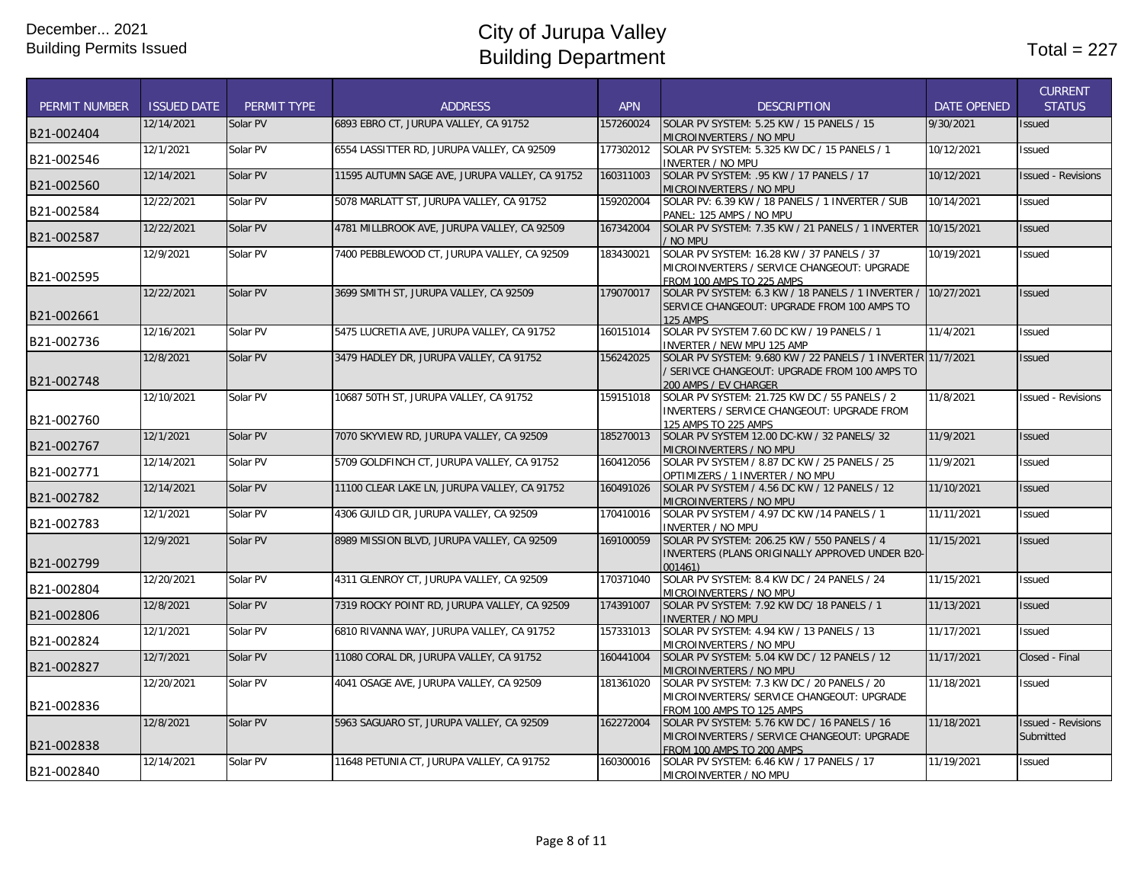|                      |                    |             |                                                |            |                                                                                                                                        |                    | <b>CURRENT</b>                         |
|----------------------|--------------------|-------------|------------------------------------------------|------------|----------------------------------------------------------------------------------------------------------------------------------------|--------------------|----------------------------------------|
| <b>PERMIT NUMBER</b> | <b>ISSUED DATE</b> | PERMIT TYPE | <b>ADDRESS</b>                                 | <b>APN</b> | <b>DESCRIPTION</b>                                                                                                                     | <b>DATE OPENED</b> | <b>STATUS</b>                          |
| B21-002404           | 12/14/2021         | Solar PV    | 6893 EBRO CT, JURUPA VALLEY, CA 91752          | 157260024  | SOLAR PV SYSTEM: 5.25 KW / 15 PANELS / 15<br>MICROINVERTERS / NO MPU                                                                   | 9/30/2021          | <b>Issued</b>                          |
| B21-002546           | 12/1/2021          | Solar PV    | 6554 LASSITTER RD, JURUPA VALLEY, CA 92509     | 177302012  | SOLAR PV SYSTEM: 5.325 KW DC / 15 PANELS / 1<br><b>INVERTER / NO MPU</b>                                                               | 10/12/2021         | <b>Issued</b>                          |
| B21-002560           | 12/14/2021         | Solar PV    | 11595 AUTUMN SAGE AVE, JURUPA VALLEY, CA 91752 | 160311003  | SOLAR PV SYSTEM: .95 KW / 17 PANELS / 17<br>MICROINVERTERS / NO MPU                                                                    | 10/12/2021         | <b>Issued - Revisions</b>              |
| B21-002584           | 12/22/2021         | Solar PV    | 5078 MARLATT ST, JURUPA VALLEY, CA 91752       | 159202004  | SOLAR PV: 6.39 KW / 18 PANELS / 1 INVERTER / SUB<br>PANEL: 125 AMPS / NO MPU                                                           | 10/14/2021         | Issued                                 |
| B21-002587           | 12/22/2021         | Solar PV    | 4781 MILLBROOK AVE, JURUPA VALLEY, CA 92509    | 167342004  | SOLAR PV SYSTEM: 7.35 KW / 21 PANELS / 1 INVERTER<br>/ NO MPU                                                                          | 10/15/2021         | <b>Issued</b>                          |
| B21-002595           | 12/9/2021          | Solar PV    | 7400 PEBBLEWOOD CT, JURUPA VALLEY, CA 92509    | 183430021  | SOLAR PV SYSTEM: 16.28 KW / 37 PANELS / 37<br>MICROINVERTERS / SERVICE CHANGEOUT: UPGRADE<br>FROM 100 AMPS TO 225 AMPS                 | 10/19/2021         | Issued                                 |
| B21-002661           | 12/22/2021         | Solar PV    | 3699 SMITH ST, JURUPA VALLEY, CA 92509         | 179070017  | SOLAR PV SYSTEM: 6.3 KW / 18 PANELS / 1 INVERTER /<br>SERVICE CHANGEOUT: UPGRADE FROM 100 AMPS TO<br>125 AMPS                          | 10/27/2021         | <b>Issued</b>                          |
| B21-002736           | 12/16/2021         | Solar PV    | 5475 LUCRETIA AVE, JURUPA VALLEY, CA 91752     | 160151014  | SOLAR PV SYSTEM 7.60 DC KW / 19 PANELS / 1<br>INVERTER / NEW MPU 125 AMP                                                               | 11/4/2021          | <b>Issued</b>                          |
| B21-002748           | 12/8/2021          | Solar PV    | 3479 HADLEY DR, JURUPA VALLEY, CA 91752        | 156242025  | SOLAR PV SYSTEM: 9.680 KW / 22 PANELS / 1 INVERTER 11/7/2021<br>/ SERIVCE CHANGEOUT: UPGRADE FROM 100 AMPS TO<br>200 AMPS / EV CHARGER |                    | <b>Issued</b>                          |
| B21-002760           | 12/10/2021         | Solar PV    | 10687 50TH ST, JURUPA VALLEY, CA 91752         | 159151018  | SOLAR PV SYSTEM: 21.725 KW DC / 55 PANELS / 2<br>INVERTERS / SERVICE CHANGEOUT: UPGRADE FROM<br>125 AMPS TO 225 AMPS                   | 11/8/2021          | <b>Issued - Revisions</b>              |
| B21-002767           | 12/1/2021          | Solar PV    | 7070 SKYVIEW RD, JURUPA VALLEY, CA 92509       | 185270013  | SOLAR PV SYSTEM 12.00 DC-KW / 32 PANELS/ 32<br>MICROINVERTERS / NO MPU                                                                 | 11/9/2021          | <b>Issued</b>                          |
| B21-002771           | 12/14/2021         | Solar PV    | 5709 GOLDFINCH CT, JURUPA VALLEY, CA 91752     | 160412056  | SOLAR PV SYSTEM / 8.87 DC KW / 25 PANELS / 25<br>OPTIMIZERS / 1 INVERTER / NO MPU                                                      | 11/9/2021          | Issued                                 |
| B21-002782           | 12/14/2021         | Solar PV    | 11100 CLEAR LAKE LN, JURUPA VALLEY, CA 91752   | 160491026  | SOLAR PV SYSTEM / 4.56 DC KW / 12 PANELS / 12<br>MICROINVERTERS / NO MPU                                                               | 11/10/2021         | <b>Issued</b>                          |
| B21-002783           | 12/1/2021          | Solar PV    | 4306 GUILD CIR. JURUPA VALLEY. CA 92509        | 170410016  | SOLAR PV SYSTEM / 4.97 DC KW /14 PANELS / 1<br><b>INVERTER / NO MPU</b>                                                                | 11/11/2021         | <b>Issued</b>                          |
| B21-002799           | 12/9/2021          | Solar PV    | 8989 MISSION BLVD, JURUPA VALLEY, CA 92509     | 169100059  | SOLAR PV SYSTEM: 206.25 KW / 550 PANELS / 4<br>INVERTERS (PLANS ORIGINALLY APPROVED UNDER B20-<br>001461                               | 11/15/2021         | <b>Issued</b>                          |
| B21-002804           | 12/20/2021         | Solar PV    | 4311 GLENROY CT, JURUPA VALLEY, CA 92509       | 170371040  | SOLAR PV SYSTEM: 8.4 KW DC / 24 PANELS / 24<br>MICROINVERTERS / NO MPU                                                                 | 11/15/2021         | <b>Issued</b>                          |
| B21-002806           | 12/8/2021          | Solar PV    | 7319 ROCKY POINT RD, JURUPA VALLEY, CA 92509   | 174391007  | SOLAR PV SYSTEM: 7.92 KW DC/ 18 PANELS / 1<br><b>INVERTER / NO MPU</b>                                                                 | 11/13/2021         | <b>Issued</b>                          |
| B21-002824           | 12/1/2021          | Solar PV    | 6810 RIVANNA WAY, JURUPA VALLEY, CA 91752      | 157331013  | SOLAR PV SYSTEM: 4.94 KW / 13 PANELS / 13<br>MICROINVERTERS / NO MPU                                                                   | 11/17/2021         | <b>Issued</b>                          |
| B21-002827           | 12/7/2021          | Solar PV    | 11080 CORAL DR. JURUPA VALLEY, CA 91752        | 160441004  | SOLAR PV SYSTEM: 5.04 KW DC / 12 PANELS / 12<br>MICROINVERTERS / NO MPU                                                                | 11/17/2021         | Closed - Final                         |
| B21-002836           | 12/20/2021         | Solar PV    | 4041 OSAGE AVE, JURUPA VALLEY, CA 92509        | 181361020  | SOLAR PV SYSTEM: 7.3 KW DC / 20 PANELS / 20<br>MICROINVERTERS/ SERVICE CHANGEOUT: UPGRADE<br>FROM 100 AMPS TO 125 AMPS                 | 11/18/2021         | Issued                                 |
| B21-002838           | 12/8/2021          | Solar PV    | 5963 SAGUARO ST, JURUPA VALLEY, CA 92509       | 162272004  | SOLAR PV SYSTEM: 5.76 KW DC / 16 PANELS / 16<br>MICROINVERTERS / SERVICE CHANGEOUT: UPGRADE<br>FROM 100 AMPS TO 200 AMPS               | 11/18/2021         | <b>Issued - Revisions</b><br>Submitted |
| B21-002840           | 12/14/2021         | Solar PV    | 11648 PETUNIA CT, JURUPA VALLEY, CA 91752      | 160300016  | SOLAR PV SYSTEM: 6.46 KW / 17 PANELS / 17<br>MICROINVERTER / NO MPU                                                                    | 11/19/2021         | Issued                                 |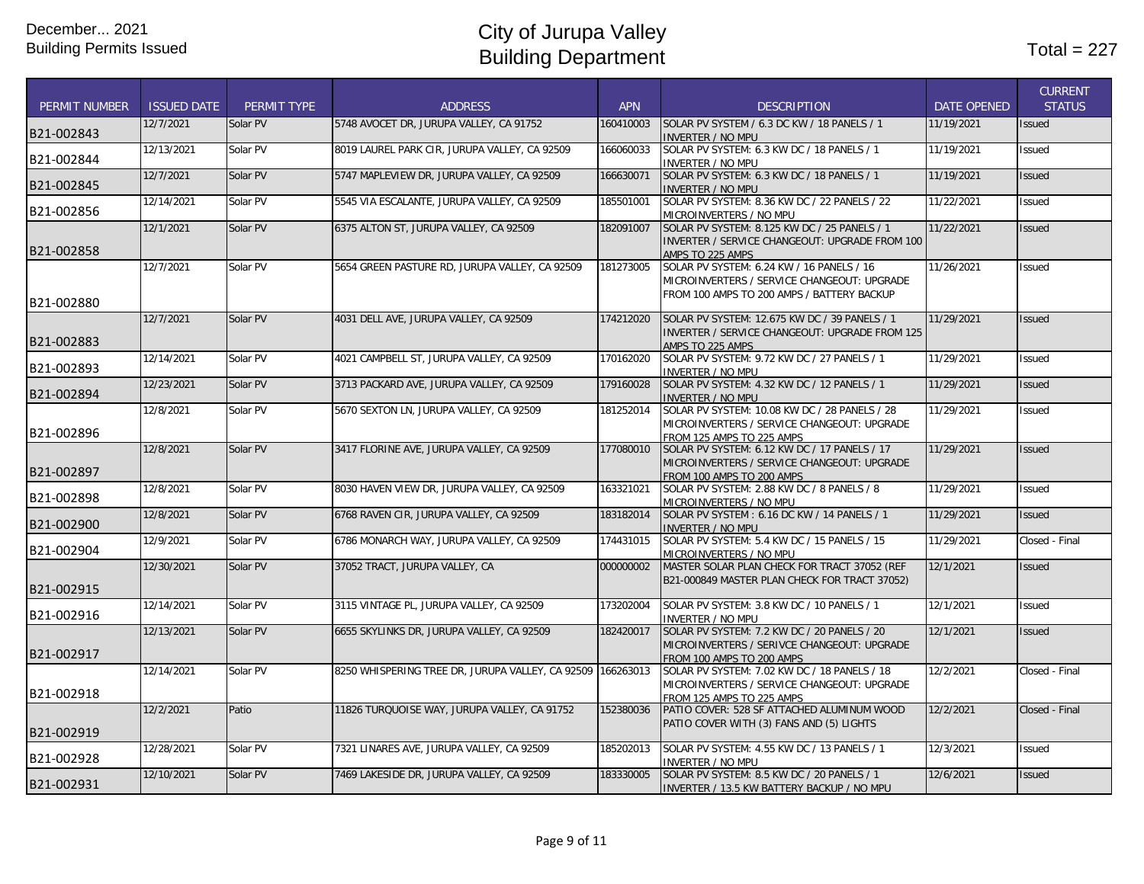| <b>PERMIT NUMBER</b> | <b>ISSUED DATE</b> | PERMIT TYPE | <b>ADDRESS</b>                                             | <b>APN</b> | <b>DESCRIPTION</b>                                                                                                                     | <b>DATE OPENED</b> | <b>CURRENT</b><br><b>STATUS</b> |
|----------------------|--------------------|-------------|------------------------------------------------------------|------------|----------------------------------------------------------------------------------------------------------------------------------------|--------------------|---------------------------------|
| B21-002843           | 12/7/2021          | Solar PV    | 5748 AVOCET DR, JURUPA VALLEY, CA 91752                    | 160410003  | SOLAR PV SYSTEM / 6.3 DC KW / 18 PANELS / 1<br>INVERTER / NO MPU                                                                       | 11/19/2021         | <b>Issued</b>                   |
| B21-002844           | 12/13/2021         | Solar PV    | 8019 LAUREL PARK CIR, JURUPA VALLEY, CA 92509              | 166060033  | SOLAR PV SYSTEM: 6.3 KW DC / 18 PANELS / 1<br><b>INVERTER / NO MPU</b>                                                                 | 11/19/2021         | <b>Issued</b>                   |
| B21-002845           | 12/7/2021          | Solar PV    | 5747 MAPLEVIEW DR, JURUPA VALLEY, CA 92509                 | 166630071  | SOLAR PV SYSTEM: 6.3 KW DC / 18 PANELS / 1<br><b>INVERTER / NO MPU</b>                                                                 | 11/19/2021         | <b>Issued</b>                   |
| B21-002856           | 12/14/2021         | Solar PV    | 5545 VIA ESCALANTE, JURUPA VALLEY, CA 92509                | 185501001  | SOLAR PV SYSTEM: 8.36 KW DC / 22 PANELS / 22<br>MICROINVERTERS / NO MPU                                                                | 11/22/2021         | <b>Issued</b>                   |
| B21-002858           | 12/1/2021          | Solar PV    | 6375 ALTON ST, JURUPA VALLEY, CA 92509                     | 182091007  | SOLAR PV SYSTEM: 8.125 KW DC / 25 PANELS / 1<br>INVERTER / SERVICE CHANGEOUT: UPGRADE FROM 100<br>AMPS TO 225 AMPS                     | 11/22/2021         | <b>Issued</b>                   |
| B21-002880           | 12/7/2021          | Solar PV    | 5654 GREEN PASTURE RD, JURUPA VALLEY, CA 92509             | 181273005  | SOLAR PV SYSTEM: 6.24 KW / 16 PANELS / 16<br>MICROINVERTERS / SERVICE CHANGEOUT: UPGRADE<br>FROM 100 AMPS TO 200 AMPS / BATTERY BACKUP | 11/26/2021         | <b>Issued</b>                   |
| B21-002883           | 12/7/2021          | Solar PV    | 4031 DELL AVE, JURUPA VALLEY, CA 92509                     | 174212020  | SOLAR PV SYSTEM: 12.675 KW DC / 39 PANELS / 1<br>INVERTER / SERVICE CHANGEOUT: UPGRADE FROM 125<br>AMPS TO 225 AMPS                    | 11/29/2021         | <b>Issued</b>                   |
| B21-002893           | 12/14/2021         | Solar PV    | 4021 CAMPBELL ST, JURUPA VALLEY, CA 92509                  | 170162020  | SOLAR PV SYSTEM: 9.72 KW DC / 27 PANELS / 1<br><b>INVERTER / NO MPU</b>                                                                | 11/29/2021         | <b>Issued</b>                   |
| B21-002894           | 12/23/2021         | Solar PV    | 3713 PACKARD AVE, JURUPA VALLEY, CA 92509                  | 179160028  | SOLAR PV SYSTEM: 4.32 KW DC / 12 PANELS / 1<br><b>INVERTER / NO MPU</b>                                                                | 11/29/2021         | <b>Issued</b>                   |
| B21-002896           | 12/8/2021          | Solar PV    | 5670 SEXTON LN, JURUPA VALLEY, CA 92509                    | 181252014  | SOLAR PV SYSTEM: 10.08 KW DC / 28 PANELS / 28<br>MICROINVERTERS / SERVICE CHANGEOUT: UPGRADE<br>FROM 125 AMPS TO 225 AMPS              | 11/29/2021         | <b>Issued</b>                   |
| B21-002897           | 12/8/2021          | Solar PV    | 3417 FLORINE AVE, JURUPA VALLEY, CA 92509                  | 177080010  | SOLAR PV SYSTEM: 6.12 KW DC / 17 PANELS / 17<br>MICROINVERTERS / SERVICE CHANGEOUT: UPGRADE<br>FROM 100 AMPS TO 200 AMPS               | 11/29/2021         | <b>Issued</b>                   |
| B21-002898           | 12/8/2021          | Solar PV    | 8030 HAVEN VIEW DR, JURUPA VALLEY, CA 92509                | 163321021  | SOLAR PV SYSTEM: 2.88 KW DC / 8 PANELS / 8<br>MICROI <u>NVERTERS / NO MPU</u>                                                          | 11/29/2021         | Issued                          |
| B21-002900           | 12/8/2021          | Solar PV    | 6768 RAVEN CIR, JURUPA VALLEY, CA 92509                    | 183182014  | SOLAR PV SYSTEM: 6.16 DC KW / 14 PANELS / 1<br><b>INVERTER / NO MPU</b>                                                                | 11/29/2021         | <b>Issued</b>                   |
| B21-002904           | 12/9/2021          | Solar PV    | 6786 MONARCH WAY, JURUPA VALLEY, CA 92509                  | 174431015  | SOLAR PV SYSTEM: 5.4 KW DC / 15 PANELS / 15<br>MICROINVERTERS / NO MPU                                                                 | 11/29/2021         | Closed - Final                  |
| B21-002915           | 12/30/2021         | Solar PV    | 37052 TRACT, JURUPA VALLEY, CA                             | 000000002  | MASTER SOLAR PLAN CHECK FOR TRACT 37052 (REF<br>B21-000849 MASTER PLAN CHECK FOR TRACT 37052)                                          | 12/1/2021          | <b>Issued</b>                   |
| B21-002916           | 12/14/2021         | Solar PV    | 3115 VINTAGE PL, JURUPA VALLEY, CA 92509                   | 173202004  | SOLAR PV SYSTEM: 3.8 KW DC / 10 PANELS / 1<br><b>INVERTER / NO MPU</b>                                                                 | 12/1/2021          | <b>Issued</b>                   |
| B21-002917           | 12/13/2021         | Solar PV    | 6655 SKYLINKS DR, JURUPA VALLEY, CA 92509                  | 182420017  | SOLAR PV SYSTEM: 7.2 KW DC / 20 PANELS / 20<br>MICROINVERTERS / SERIVCE CHANGEOUT: UPGRADE<br>FROM 100 AMPS TO 200 AMPS                | 12/1/2021          | <b>Issued</b>                   |
| B21-002918           | 12/14/2021         | Solar PV    | 8250 WHISPERING TREE DR, JURUPA VALLEY, CA 92509 166263013 |            | SOLAR PV SYSTEM: 7.02 KW DC / 18 PANELS / 18<br>MICROINVERTERS / SERVICE CHANGEOUT: UPGRADE<br>FROM 125 AMPS TO 225 AMPS               | 12/2/2021          | Closed - Final                  |
| B21-002919           | 12/2/2021          | Patio       | 11826 TURQUOISE WAY, JURUPA VALLEY, CA 91752               | 152380036  | PATIO COVER: 528 SF ATTACHED ALUMINUM WOOD<br>PATIO COVER WITH (3) FANS AND (5) LIGHTS                                                 | 12/2/2021          | Closed - Final                  |
| B21-002928           | 12/28/2021         | Solar PV    | 7321 LINARES AVE, JURUPA VALLEY, CA 92509                  | 185202013  | SOLAR PV SYSTEM: 4.55 KW DC / 13 PANELS / 1<br>INVERTER / NO MPU                                                                       | 12/3/2021          | <b>Issued</b>                   |
| B21-002931           | 12/10/2021         | Solar PV    | 7469 LAKESIDE DR, JURUPA VALLEY, CA 92509                  | 183330005  | SOLAR PV SYSTEM: 8.5 KW DC / 20 PANELS / 1<br><b>INVERTER / 13.5 KW BATTERY BACKUP / NO MPU</b>                                        | 12/6/2021          | <b>Issued</b>                   |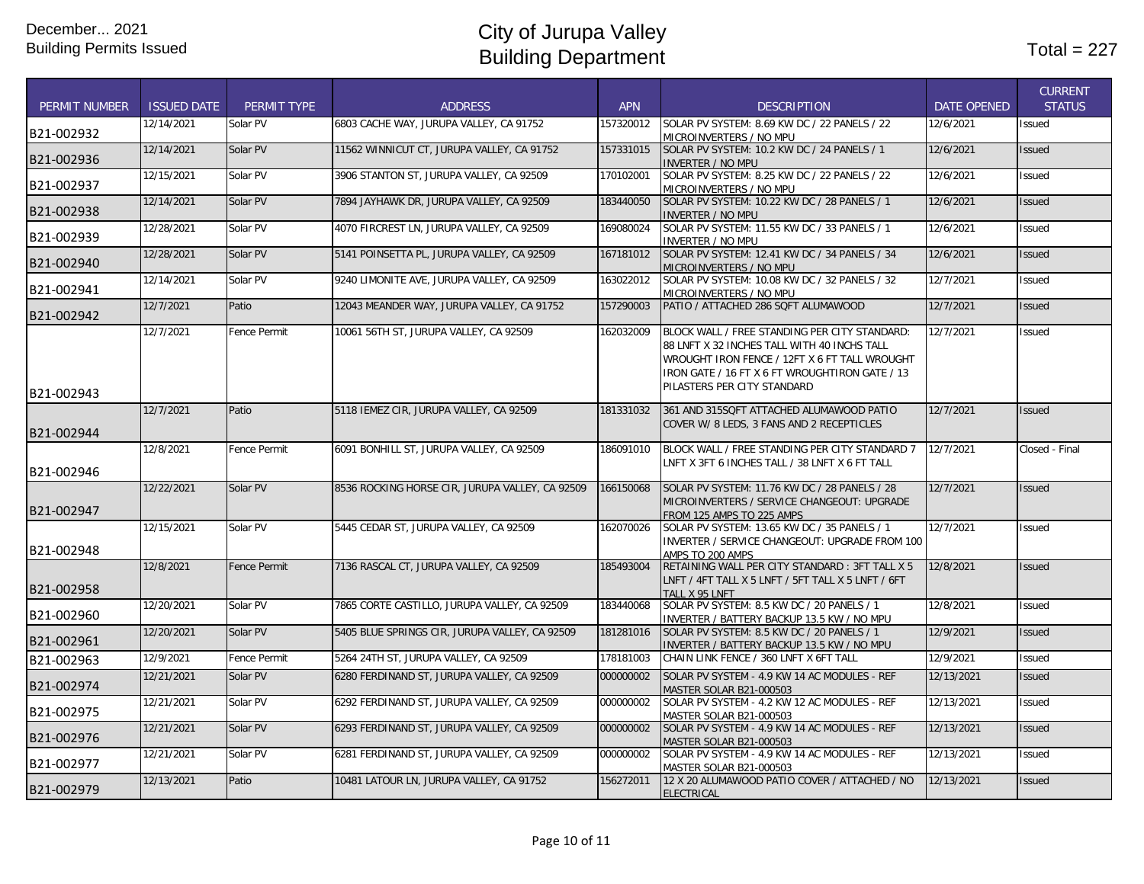| <b>PERMIT NUMBER</b> | <b>ISSUED DATE</b> | <b>PERMIT TYPE</b>  | <b>ADDRESS</b>                                  | <b>APN</b> | <b>DESCRIPTION</b>                                                                                                                                                                                                             | <b>DATE OPENED</b> | <b>CURRENT</b><br><b>STATUS</b> |
|----------------------|--------------------|---------------------|-------------------------------------------------|------------|--------------------------------------------------------------------------------------------------------------------------------------------------------------------------------------------------------------------------------|--------------------|---------------------------------|
| B21-002932           | 12/14/2021         | Solar PV            | 6803 CACHE WAY, JURUPA VALLEY, CA 91752         | 157320012  | SOLAR PV SYSTEM: 8.69 KW DC / 22 PANELS / 22<br>MICROINVERTERS / NO MPU                                                                                                                                                        | 12/6/2021          | Issued                          |
| B21-002936           | 12/14/2021         | Solar PV            | 11562 WINNICUT CT, JURUPA VALLEY, CA 91752      | 157331015  | SOLAR PV SYSTEM: 10.2 KW DC / 24 PANELS / 1<br><b>INVERTER / NO MPU</b>                                                                                                                                                        | 12/6/2021          | <b>Issued</b>                   |
| B21-002937           | 12/15/2021         | Solar PV            | 3906 STANTON ST, JURUPA VALLEY, CA 92509        | 170102001  | SOLAR PV SYSTEM: 8.25 KW DC / 22 PANELS / 22<br>MICROINVERTERS / NO MPU                                                                                                                                                        | 12/6/2021          | <b>Issued</b>                   |
| B21-002938           | 12/14/2021         | Solar PV            | 7894 JAYHAWK DR, JURUPA VALLEY, CA 92509        | 183440050  | SOLAR PV SYSTEM: 10.22 KW DC / 28 PANELS / 1<br><b>INVERTER / NO MPU</b>                                                                                                                                                       | 12/6/2021          | <b>Issued</b>                   |
| B21-002939           | 12/28/2021         | Solar PV            | 4070 FIRCREST LN, JURUPA VALLEY, CA 92509       | 169080024  | SOLAR PV SYSTEM: 11.55 KW DC / 33 PANELS / 1<br><b>INVERTER / NO MPU</b>                                                                                                                                                       | 12/6/2021          | Issued                          |
| B21-002940           | 12/28/2021         | Solar PV            | 5141 POINSETTA PL, JURUPA VALLEY, CA 92509      | 167181012  | SOLAR PV SYSTEM: 12.41 KW DC / 34 PANELS / 34<br>MICROINVERTERS / NO MPU                                                                                                                                                       | 12/6/2021          | <b>Issued</b>                   |
| B21-002941           | 12/14/2021         | Solar PV            | 9240 LIMONITE AVE, JURUPA VALLEY, CA 92509      | 163022012  | SOLAR PV SYSTEM: 10.08 KW DC / 32 PANELS / 32<br>MICROINVERTERS / NO MPU                                                                                                                                                       | 12/7/2021          | Issued                          |
| B21-002942           | 12/7/2021          | Patio               | 12043 MEANDER WAY, JURUPA VALLEY, CA 91752      | 157290003  | PATIO / ATTACHED 286 SQFT ALUMAWOOD                                                                                                                                                                                            | 12/7/2021          | <b>Issued</b>                   |
| B21-002943           | 12/7/2021          | <b>Fence Permit</b> | 10061 56TH ST, JURUPA VALLEY, CA 92509          | 162032009  | BLOCK WALL / FREE STANDING PER CITY STANDARD:<br>88 LNFT X 32 INCHES TALL WITH 40 INCHS TALL<br>WROUGHT IRON FENCE / 12FT X 6 FT TALL WROUGHT<br>IRON GATE / 16 FT X 6 FT WROUGHTIRON GATE / 13<br>PILASTERS PER CITY STANDARD | 12/7/2021          | <b>Issued</b>                   |
| B21-002944           | 12/7/2021          | Patio               | 5118 IEMEZ CIR, JURUPA VALLEY, CA 92509         | 181331032  | 361 AND 315SQFT ATTACHED ALUMAWOOD PATIO<br>COVER W/ 8 LEDS, 3 FANS AND 2 RECEPTICLES                                                                                                                                          | 12/7/2021          | <b>Issued</b>                   |
| B21-002946           | 12/8/2021          | Fence Permit        | 6091 BONHILL ST, JURUPA VALLEY, CA 92509        | 186091010  | BLOCK WALL / FREE STANDING PER CITY STANDARD 7<br>LNFT X 3FT 6 INCHES TALL / 38 LNFT X 6 FT TALL                                                                                                                               | 12/7/2021          | Closed - Final                  |
| B21-002947           | 12/22/2021         | Solar PV            | 8536 ROCKING HORSE CIR, JURUPA VALLEY, CA 92509 | 166150068  | SOLAR PV SYSTEM: 11.76 KW DC / 28 PANELS / 28<br>MICROINVERTERS / SERVICE CHANGEOUT: UPGRADE<br>FROM 125 AMPS TO 225 AMPS                                                                                                      | 12/7/2021          | <b>Issued</b>                   |
| B21-002948           | 12/15/2021         | Solar PV            | 5445 CEDAR ST, JURUPA VALLEY, CA 92509          | 162070026  | SOLAR PV SYSTEM: 13.65 KW DC / 35 PANELS / 1<br>INVERTER / SERVICE CHANGEOUT: UPGRADE FROM 100<br>AMPS TO 200 AMPS                                                                                                             | 12/7/2021          | Issued                          |
| B21-002958           | 12/8/2021          | Fence Permit        | 7136 RASCAL CT, JURUPA VALLEY, CA 92509         | 185493004  | RETAINING WALL PER CITY STANDARD: 3FT TALL X 5<br>LNFT / 4FT TALL X 5 LNFT / 5FT TALL X 5 LNFT / 6FT<br>TALL X 95 LNFT                                                                                                         | 12/8/2021          | <b>Issued</b>                   |
| B21-002960           | 12/20/2021         | Solar PV            | 7865 CORTE CASTILLO, JURUPA VALLEY, CA 92509    | 183440068  | SOLAR PV SYSTEM: 8.5 KW DC / 20 PANELS / 1<br>INVERTER / BATTERY BACKUP 13.5 KW / NO MPU                                                                                                                                       | 12/8/2021          | <b>Issued</b>                   |
| B21-002961           | 12/20/2021         | Solar PV            | 5405 BLUE SPRINGS CIR, JURUPA VALLEY, CA 92509  | 181281016  | SOLAR PV SYSTEM: 8.5 KW DC / 20 PANELS / 1<br>INVERTER / BATTERY BACKUP 13.5 KW / NO MPU                                                                                                                                       | 12/9/2021          | <b>Issued</b>                   |
| B21-002963           | 12/9/2021          | Fence Permit        | 5264 24TH ST, JURUPA VALLEY, CA 92509           | 178181003  | CHAIN LINK FENCE / 360 LNFT X 6FT TALL                                                                                                                                                                                         | 12/9/2021          | Issued                          |
| B21-002974           | 12/21/2021         | Solar PV            | 6280 FERDINAND ST, JURUPA VALLEY, CA 92509      | 000000002  | SOLAR PV SYSTEM - 4.9 KW 14 AC MODULES - REF<br>MASTER SOLAR B21-000503                                                                                                                                                        | 12/13/2021         | <b>Issued</b>                   |
| B21-002975           | 12/21/2021         | Solar PV            | 6292 FERDINAND ST, JURUPA VALLEY, CA 92509      | 000000002  | SOLAR PV SYSTEM - 4.2 KW 12 AC MODULES - REF<br>MASTER SOLAR B21-000503                                                                                                                                                        | 12/13/2021         | Issued                          |
| B21-002976           | 12/21/2021         | Solar PV            | 6293 FERDINAND ST, JURUPA VALLEY, CA 92509      | 000000002  | SOLAR PV SYSTEM - 4.9 KW 14 AC MODULES - REF<br>MASTER SOLAR B21-000503                                                                                                                                                        | 12/13/2021         | <b>Issued</b>                   |
| B21-002977           | 12/21/2021         | Solar PV            | 6281 FERDINAND ST, JURUPA VALLEY, CA 92509      | 000000002  | SOLAR PV SYSTEM - 4.9 KW 14 AC MODULES - REF<br>MASTER SOLAR B21-000503                                                                                                                                                        | 12/13/2021         | Issued                          |
| B21-002979           | 12/13/2021         | Patio               | 10481 LATOUR LN, JURUPA VALLEY, CA 91752        | 156272011  | 12 X 20 ALUMAWOOD PATIO COVER / ATTACHED / NO<br><b>ELECTRICAL</b>                                                                                                                                                             | 12/13/2021         | <b>Issued</b>                   |